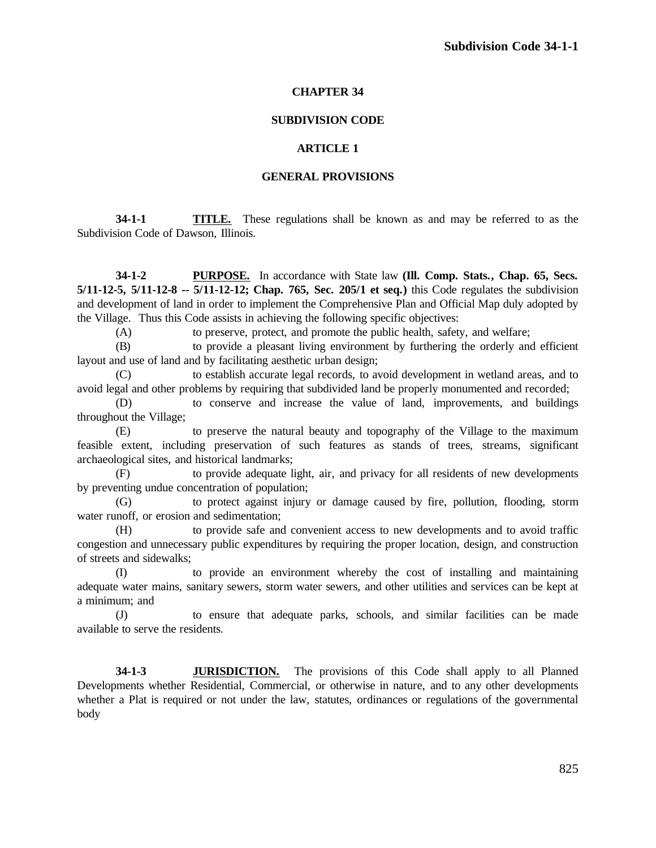# **CHAPTER 34**

## **SUBDIVISION CODE**

## **ARTICLE 1**

## **GENERAL PROVISIONS**

**34-1-1 TITLE.** These regulations shall be known as and may be referred to as the Subdivision Code of Dawson, Illinois.

**34-1-2 PURPOSE.** In accordance with State law **(Ill. Comp. Stats., Chap. 65, Secs. 5/11-12-5, 5/11-12-8 -- 5/11-12-12; Chap. 765, Sec. 205/1 et seq.)** this Code regulates the subdivision and development of land in order to implement the Comprehensive Plan and Official Map duly adopted by the Village. Thus this Code assists in achieving the following specific objectives:

(A) to preserve, protect, and promote the public health, safety, and welfare;

(B) to provide a pleasant living environment by furthering the orderly and efficient layout and use of land and by facilitating aesthetic urban design;

(C) to establish accurate legal records, to avoid development in wetland areas, and to avoid legal and other problems by requiring that subdivided land be properly monumented and recorded;

(D) to conserve and increase the value of land, improvements, and buildings throughout the Village;

(E) to preserve the natural beauty and topography of the Village to the maximum feasible extent, including preservation of such features as stands of trees, streams, significant archaeological sites, and historical landmarks;

(F) to provide adequate light, air, and privacy for all residents of new developments by preventing undue concentration of population;

(G) to protect against injury or damage caused by fire, pollution, flooding, storm water runoff, or erosion and sedimentation;

(H) to provide safe and convenient access to new developments and to avoid traffic congestion and unnecessary public expenditures by requiring the proper location, design, and construction of streets and sidewalks;

(I) to provide an environment whereby the cost of installing and maintaining adequate water mains, sanitary sewers, storm water sewers, and other utilities and services can be kept at a minimum; and

(J) to ensure that adequate parks, schools, and similar facilities can be made available to serve the residents.

**34-1-3 JURISDICTION.** The provisions of this Code shall apply to all Planned Developments whether Residential, Commercial, or otherwise in nature, and to any other developments whether a Plat is required or not under the law, statutes, ordinances or regulations of the governmental body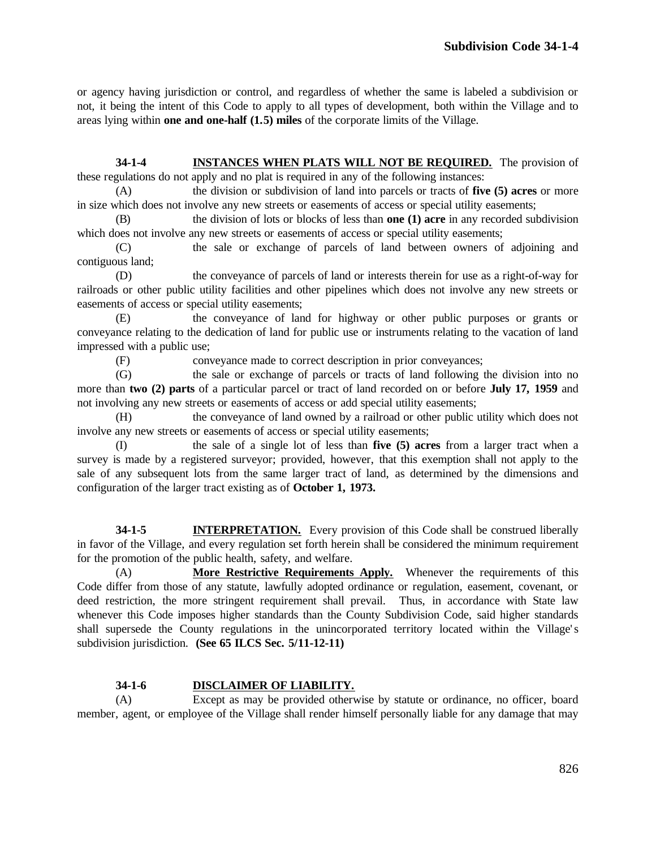or agency having jurisdiction or control, and regardless of whether the same is labeled a subdivision or not, it being the intent of this Code to apply to all types of development, both within the Village and to areas lying within **one and one-half (1.5) miles** of the corporate limits of the Village.

**34-1-4 INSTANCES WHEN PLATS WILL NOT BE REQUIRED.** The provision of these regulations do not apply and no plat is required in any of the following instances:

(A) the division or subdivision of land into parcels or tracts of **five (5) acres** or more in size which does not involve any new streets or easements of access or special utility easements;

(B) the division of lots or blocks of less than **one (1) acre** in any recorded subdivision which does not involve any new streets or easements of access or special utility easements;

(C) the sale or exchange of parcels of land between owners of adjoining and contiguous land;

(D) the conveyance of parcels of land or interests therein for use as a right-of-way for railroads or other public utility facilities and other pipelines which does not involve any new streets or easements of access or special utility easements;

(E) the conveyance of land for highway or other public purposes or grants or conveyance relating to the dedication of land for public use or instruments relating to the vacation of land impressed with a public use;

(F) conveyance made to correct description in prior conveyances;

(G) the sale or exchange of parcels or tracts of land following the division into no more than **two (2) parts** of a particular parcel or tract of land recorded on or before **July 17, 1959** and not involving any new streets or easements of access or add special utility easements;

(H) the conveyance of land owned by a railroad or other public utility which does not involve any new streets or easements of access or special utility easements;

(I) the sale of a single lot of less than **five (5) acres** from a larger tract when a survey is made by a registered surveyor; provided, however, that this exemption shall not apply to the sale of any subsequent lots from the same larger tract of land, as determined by the dimensions and configuration of the larger tract existing as of **October 1, 1973.**

**34-1-5 INTERPRETATION.** Every provision of this Code shall be construed liberally in favor of the Village, and every regulation set forth herein shall be considered the minimum requirement for the promotion of the public health, safety, and welfare.

(A) **More Restrictive Requirements Apply.** Whenever the requirements of this Code differ from those of any statute, lawfully adopted ordinance or regulation, easement, covenant, or deed restriction, the more stringent requirement shall prevail. Thus, in accordance with State law whenever this Code imposes higher standards than the County Subdivision Code, said higher standards shall supersede the County regulations in the unincorporated territory located within the Village's subdivision jurisdiction. **(See 65 ILCS Sec. 5/11-12-11)**

# **34-1-6 DISCLAIMER OF LIABILITY.**

(A) Except as may be provided otherwise by statute or ordinance, no officer, board member, agent, or employee of the Village shall render himself personally liable for any damage that may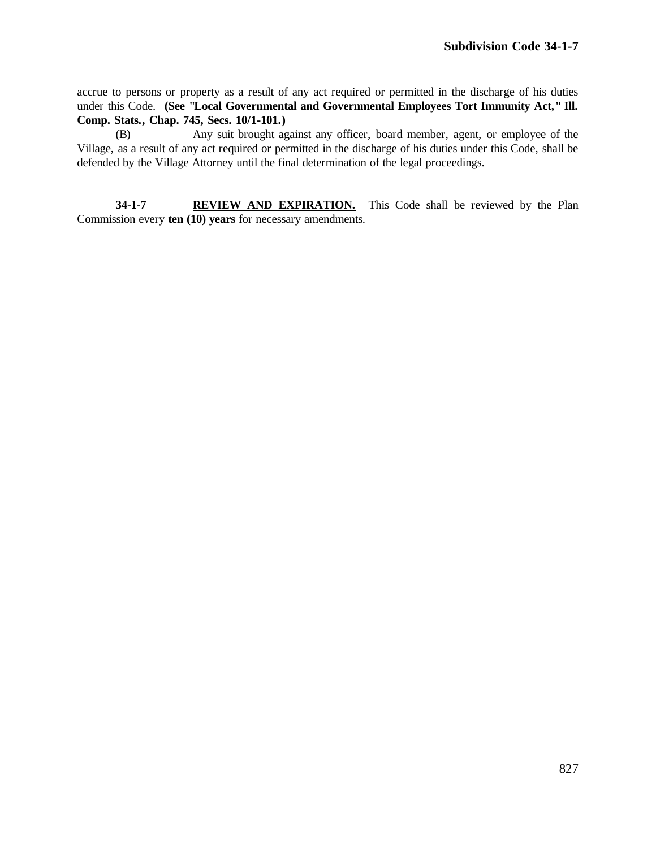accrue to persons or property as a result of any act required or permitted in the discharge of his duties under this Code. **(See "Local Governmental and Governmental Employees Tort Immunity Act," Ill. Comp. Stats., Chap. 745, Secs. 10/1-101.)**

(B) Any suit brought against any officer, board member, agent, or employee of the Village, as a result of any act required or permitted in the discharge of his duties under this Code, shall be defended by the Village Attorney until the final determination of the legal proceedings.

**34-1-7 REVIEW AND EXPIRATION.** This Code shall be reviewed by the Plan Commission every **ten (10) years** for necessary amendments.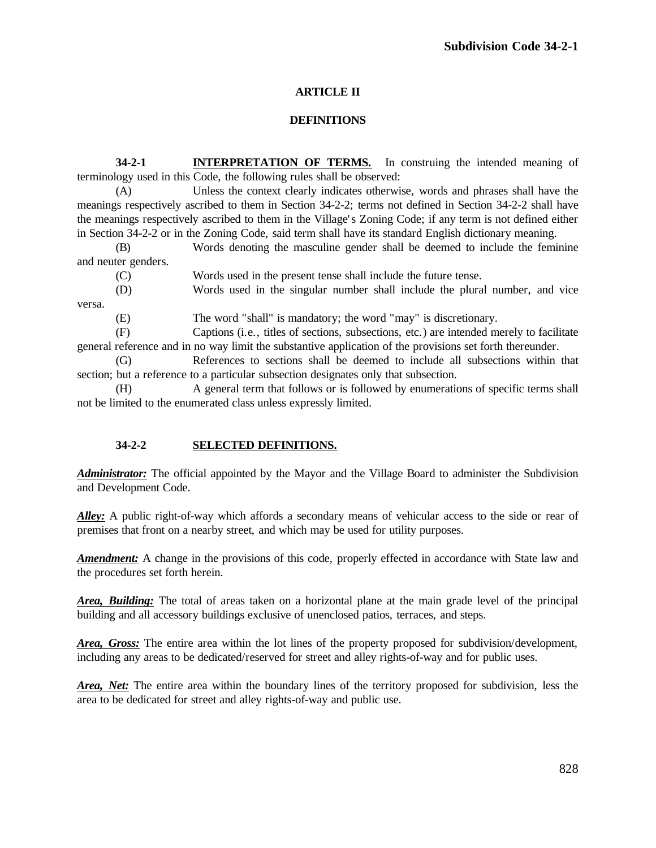# **ARTICLE II**

# **DEFINITIONS**

**34-2-1 INTERPRETATION OF TERMS.** In construing the intended meaning of terminology used in this Code, the following rules shall be observed:

(A) Unless the context clearly indicates otherwise, words and phrases shall have the meanings respectively ascribed to them in Section 34-2-2; terms not defined in Section 34-2-2 shall have the meanings respectively ascribed to them in the Village' s Zoning Code; if any term is not defined either in Section 34-2-2 or in the Zoning Code, said term shall have its standard English dictionary meaning.

(B) Words denoting the masculine gender shall be deemed to include the feminine and neuter genders.

(C) Words used in the present tense shall include the future tense.

(D) Words used in the singular number shall include the plural number, and vice versa.

(E) The word "shall" is mandatory; the word "may" is discretionary.

(F) Captions (i.e., titles of sections, subsections, etc.) are intended merely to facilitate general reference and in no way limit the substantive application of the provisions set forth thereunder.

(G) References to sections shall be deemed to include all subsections within that section; but a reference to a particular subsection designates only that subsection.

(H) A general term that follows or is followed by enumerations of specific terms shall not be limited to the enumerated class unless expressly limited.

# **34-2-2 SELECTED DEFINITIONS.**

*Administrator:* The official appointed by the Mayor and the Village Board to administer the Subdivision and Development Code.

Alley: A public right-of-way which affords a secondary means of vehicular access to the side or rear of premises that front on a nearby street, and which may be used for utility purposes.

*Amendment:* A change in the provisions of this code, properly effected in accordance with State law and the procedures set forth herein.

*Area, Building:* The total of areas taken on a horizontal plane at the main grade level of the principal building and all accessory buildings exclusive of unenclosed patios, terraces, and steps.

*Area, Gross:* The entire area within the lot lines of the property proposed for subdivision/development, including any areas to be dedicated/reserved for street and alley rights-of-way and for public uses.

*Area, Net:* The entire area within the boundary lines of the territory proposed for subdivision, less the area to be dedicated for street and alley rights-of-way and public use.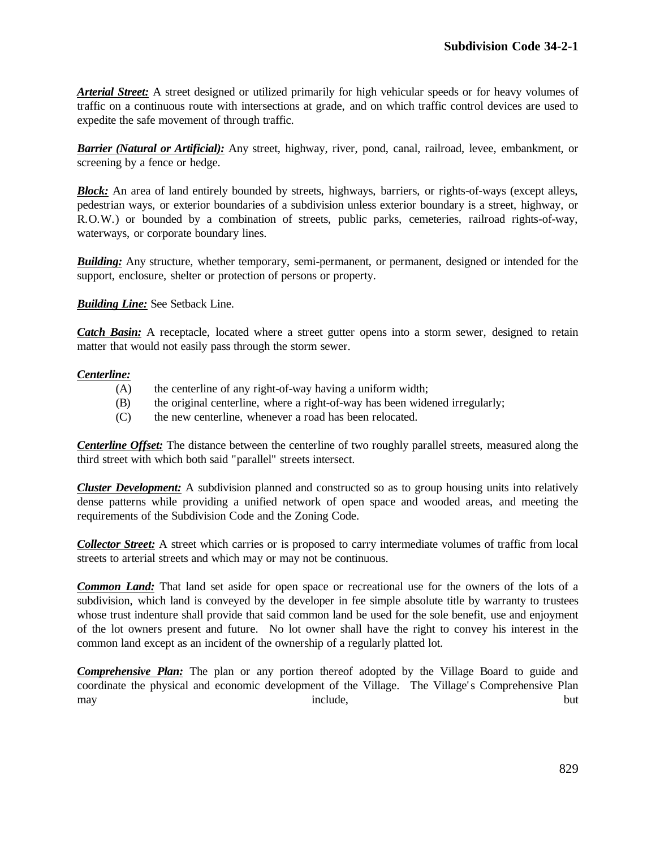*Arterial Street:* A street designed or utilized primarily for high vehicular speeds or for heavy volumes of traffic on a continuous route with intersections at grade, and on which traffic control devices are used to expedite the safe movement of through traffic.

*Barrier (Natural or Artificial):* Any street, highway, river, pond, canal, railroad, levee, embankment, or screening by a fence or hedge.

*Block:* An area of land entirely bounded by streets, highways, barriers, or rights-of-ways (except alleys, pedestrian ways, or exterior boundaries of a subdivision unless exterior boundary is a street, highway, or R.O.W.) or bounded by a combination of streets, public parks, cemeteries, railroad rights-of-way, waterways, or corporate boundary lines.

*Building:* Any structure, whether temporary, semi-permanent, or permanent, designed or intended for the support, enclosure, shelter or protection of persons or property.

*Building Line:* See Setback Line.

*Catch Basin:* A receptacle, located where a street gutter opens into a storm sewer, designed to retain matter that would not easily pass through the storm sewer.

#### *Centerline:*

- (A) the centerline of any right-of-way having a uniform width;
- (B) the original centerline, where a right-of-way has been widened irregularly;
- (C) the new centerline, whenever a road has been relocated.

*Centerline Offset:* The distance between the centerline of two roughly parallel streets, measured along the third street with which both said "parallel" streets intersect.

*Cluster Development:* A subdivision planned and constructed so as to group housing units into relatively dense patterns while providing a unified network of open space and wooded areas, and meeting the requirements of the Subdivision Code and the Zoning Code.

*Collector Street:* A street which carries or is proposed to carry intermediate volumes of traffic from local streets to arterial streets and which may or may not be continuous.

*Common Land:* That land set aside for open space or recreational use for the owners of the lots of a subdivision, which land is conveyed by the developer in fee simple absolute title by warranty to trustees whose trust indenture shall provide that said common land be used for the sole benefit, use and enjoyment of the lot owners present and future. No lot owner shall have the right to convey his interest in the common land except as an incident of the ownership of a regularly platted lot.

*Comprehensive Plan:* The plan or any portion thereof adopted by the Village Board to guide and coordinate the physical and economic development of the Village. The Village's Comprehensive Plan may but include,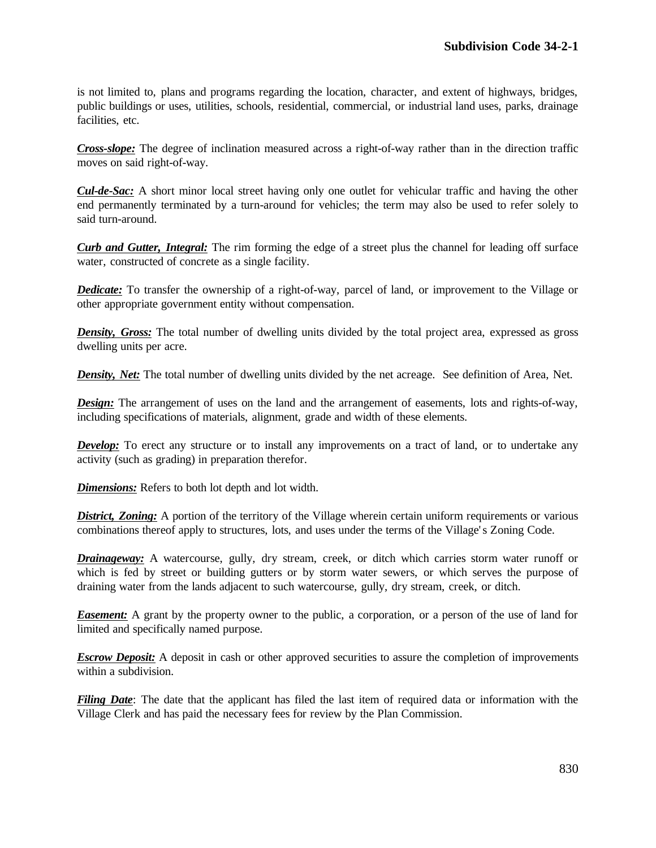is not limited to, plans and programs regarding the location, character, and extent of highways, bridges, public buildings or uses, utilities, schools, residential, commercial, or industrial land uses, parks, drainage facilities, etc.

*Cross-slope:* The degree of inclination measured across a right-of-way rather than in the direction traffic moves on said right-of-way.

*Cul-de-Sac:* A short minor local street having only one outlet for vehicular traffic and having the other end permanently terminated by a turn-around for vehicles; the term may also be used to refer solely to said turn-around.

*Curb and Gutter, Integral:* The rim forming the edge of a street plus the channel for leading off surface water, constructed of concrete as a single facility.

*Dedicate:* To transfer the ownership of a right-of-way, parcel of land, or improvement to the Village or other appropriate government entity without compensation.

*Density, Gross:* The total number of dwelling units divided by the total project area, expressed as gross dwelling units per acre.

**Density, Net:** The total number of dwelling units divided by the net acreage. See definition of Area, Net.

*Design:* The arrangement of uses on the land and the arrangement of easements, lots and rights-of-way, including specifications of materials, alignment, grade and width of these elements.

*Develop:* To erect any structure or to install any improvements on a tract of land, or to undertake any activity (such as grading) in preparation therefor.

*Dimensions:* Refers to both lot depth and lot width.

*District, Zoning:* A portion of the territory of the Village wherein certain uniform requirements or various combinations thereof apply to structures, lots, and uses under the terms of the Village' s Zoning Code.

*Drainageway:* A watercourse, gully, dry stream, creek, or ditch which carries storm water runoff or which is fed by street or building gutters or by storm water sewers, or which serves the purpose of draining water from the lands adjacent to such watercourse, gully, dry stream, creek, or ditch.

*Easement:* A grant by the property owner to the public, a corporation, or a person of the use of land for limited and specifically named purpose.

*Escrow Deposit:* A deposit in cash or other approved securities to assure the completion of improvements within a subdivision.

*Filing Date*: The date that the applicant has filed the last item of required data or information with the Village Clerk and has paid the necessary fees for review by the Plan Commission.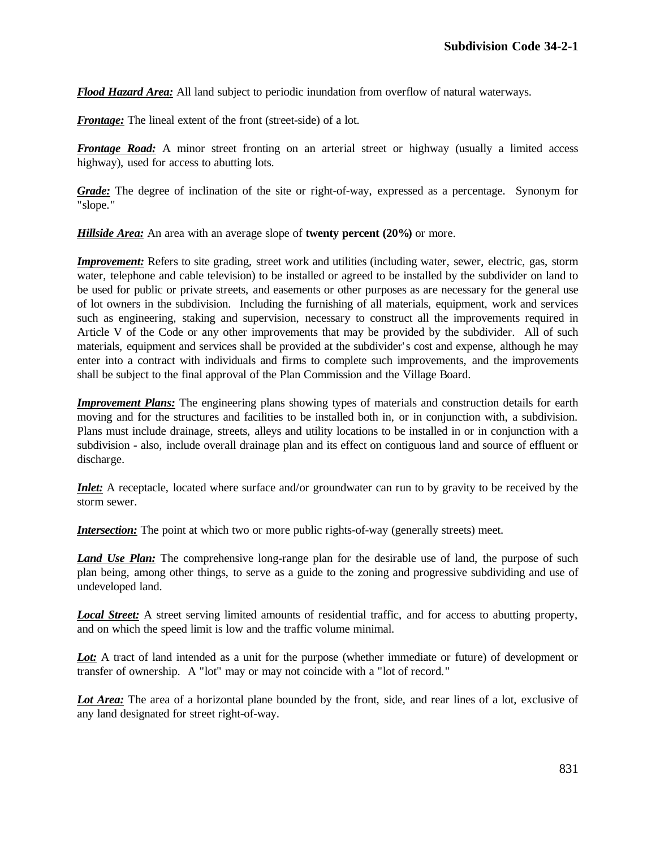*Flood Hazard Area:* All land subject to periodic inundation from overflow of natural waterways.

*Frontage:* The lineal extent of the front (street-side) of a lot.

*Frontage Road:* A minor street fronting on an arterial street or highway (usually a limited access highway), used for access to abutting lots.

*Grade:* The degree of inclination of the site or right-of-way, expressed as a percentage. Synonym for "slope."

*Hillside Area:* An area with an average slope of **twenty percent (20%)** or more.

*Improvement:* Refers to site grading, street work and utilities (including water, sewer, electric, gas, storm water, telephone and cable television) to be installed or agreed to be installed by the subdivider on land to be used for public or private streets, and easements or other purposes as are necessary for the general use of lot owners in the subdivision. Including the furnishing of all materials, equipment, work and services such as engineering, staking and supervision, necessary to construct all the improvements required in Article V of the Code or any other improvements that may be provided by the subdivider. All of such materials, equipment and services shall be provided at the subdivider' s cost and expense, although he may enter into a contract with individuals and firms to complete such improvements, and the improvements shall be subject to the final approval of the Plan Commission and the Village Board.

*Improvement Plans:* The engineering plans showing types of materials and construction details for earth moving and for the structures and facilities to be installed both in, or in conjunction with, a subdivision. Plans must include drainage, streets, alleys and utility locations to be installed in or in conjunction with a subdivision - also, include overall drainage plan and its effect on contiguous land and source of effluent or discharge.

*Inlet:* A receptacle, located where surface and/or groundwater can run to by gravity to be received by the storm sewer.

*Intersection:* The point at which two or more public rights-of-way (generally streets) meet.

*Land Use Plan:* The comprehensive long-range plan for the desirable use of land, the purpose of such plan being, among other things, to serve as a guide to the zoning and progressive subdividing and use of undeveloped land.

*Local Street:* A street serving limited amounts of residential traffic, and for access to abutting property, and on which the speed limit is low and the traffic volume minimal.

Lot: A tract of land intended as a unit for the purpose (whether immediate or future) of development or transfer of ownership. A "lot" may or may not coincide with a "lot of record."

Lot Area: The area of a horizontal plane bounded by the front, side, and rear lines of a lot, exclusive of any land designated for street right-of-way.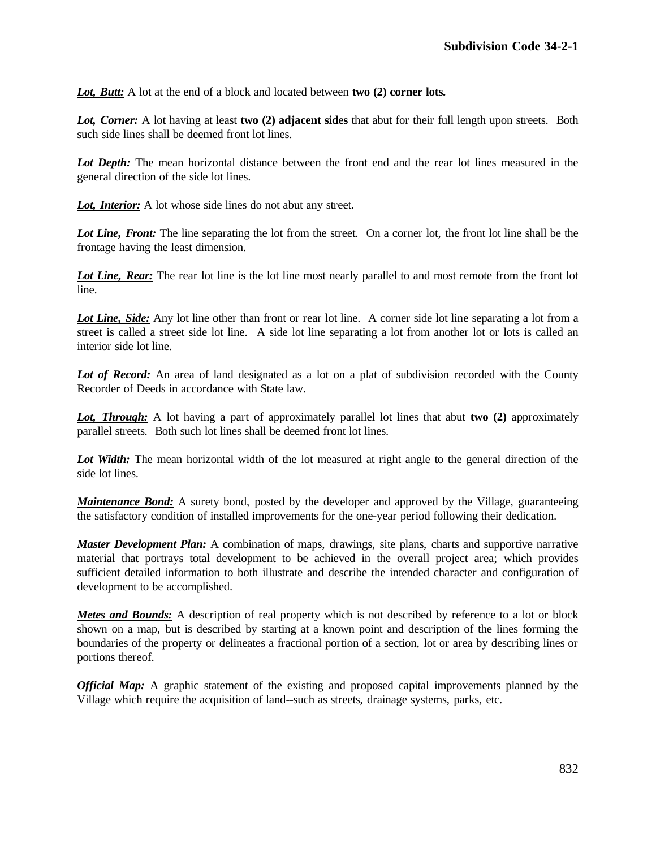*Lot, Butt:* A lot at the end of a block and located between **two (2) corner lots.**

*Lot, Corner:* A lot having at least **two (2) adjacent sides** that abut for their full length upon streets. Both such side lines shall be deemed front lot lines.

*Lot Depth:* The mean horizontal distance between the front end and the rear lot lines measured in the general direction of the side lot lines.

*Lot, Interior:* A lot whose side lines do not abut any street.

*Lot Line, Front:* The line separating the lot from the street. On a corner lot, the front lot line shall be the frontage having the least dimension.

Lot Line, Rear: The rear lot line is the lot line most nearly parallel to and most remote from the front lot line.

*Lot Line, Side:* Any lot line other than front or rear lot line. A corner side lot line separating a lot from a street is called a street side lot line. A side lot line separating a lot from another lot or lots is called an interior side lot line.

Lot of Record: An area of land designated as a lot on a plat of subdivision recorded with the County Recorder of Deeds in accordance with State law.

*Lot, Through:* A lot having a part of approximately parallel lot lines that abut **two (2)** approximately parallel streets. Both such lot lines shall be deemed front lot lines.

Lot Width: The mean horizontal width of the lot measured at right angle to the general direction of the side lot lines.

*Maintenance Bond:* A surety bond, posted by the developer and approved by the Village, guaranteeing the satisfactory condition of installed improvements for the one-year period following their dedication.

*Master Development Plan:* A combination of maps, drawings, site plans, charts and supportive narrative material that portrays total development to be achieved in the overall project area; which provides sufficient detailed information to both illustrate and describe the intended character and configuration of development to be accomplished.

*Metes and Bounds:* A description of real property which is not described by reference to a lot or block shown on a map, but is described by starting at a known point and description of the lines forming the boundaries of the property or delineates a fractional portion of a section, lot or area by describing lines or portions thereof.

*Official Map:* A graphic statement of the existing and proposed capital improvements planned by the Village which require the acquisition of land--such as streets, drainage systems, parks, etc.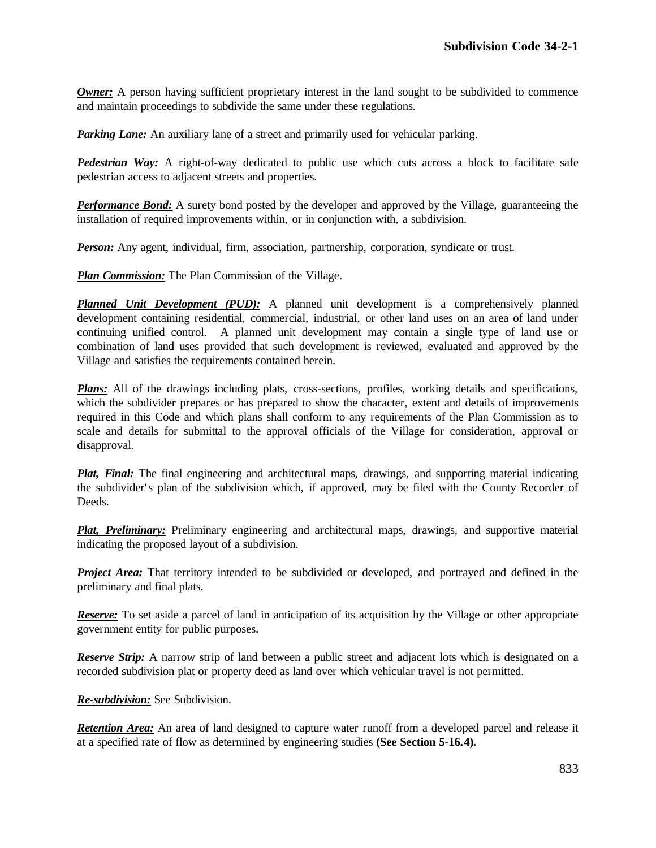*Owner:* A person having sufficient proprietary interest in the land sought to be subdivided to commence and maintain proceedings to subdivide the same under these regulations.

*Parking Lane:* An auxiliary lane of a street and primarily used for vehicular parking.

*Pedestrian Way:* A right-of-way dedicated to public use which cuts across a block to facilitate safe pedestrian access to adjacent streets and properties.

*Performance Bond:* A surety bond posted by the developer and approved by the Village, guaranteeing the installation of required improvements within, or in conjunction with, a subdivision.

**Person:** Any agent, individual, firm, association, partnership, corporation, syndicate or trust.

*Plan Commission:* The Plan Commission of the Village.

*Planned Unit Development (PUD):* A planned unit development is a comprehensively planned development containing residential, commercial, industrial, or other land uses on an area of land under continuing unified control. A planned unit development may contain a single type of land use or combination of land uses provided that such development is reviewed, evaluated and approved by the Village and satisfies the requirements contained herein.

*Plans:* All of the drawings including plats, cross-sections, profiles, working details and specifications, which the subdivider prepares or has prepared to show the character, extent and details of improvements required in this Code and which plans shall conform to any requirements of the Plan Commission as to scale and details for submittal to the approval officials of the Village for consideration, approval or disapproval.

*Plat, Final:* The final engineering and architectural maps, drawings, and supporting material indicating the subdivider' s plan of the subdivision which, if approved, may be filed with the County Recorder of Deeds.

*Plat, Preliminary:* Preliminary engineering and architectural maps, drawings, and supportive material indicating the proposed layout of a subdivision.

*Project Area:* That territory intended to be subdivided or developed, and portrayed and defined in the preliminary and final plats.

*Reserve:* To set aside a parcel of land in anticipation of its acquisition by the Village or other appropriate government entity for public purposes.

*Reserve Strip:* A narrow strip of land between a public street and adjacent lots which is designated on a recorded subdivision plat or property deed as land over which vehicular travel is not permitted.

*Re-subdivision:* See Subdivision.

*Retention Area:* An area of land designed to capture water runoff from a developed parcel and release it at a specified rate of flow as determined by engineering studies **(See Section 5-16.4).**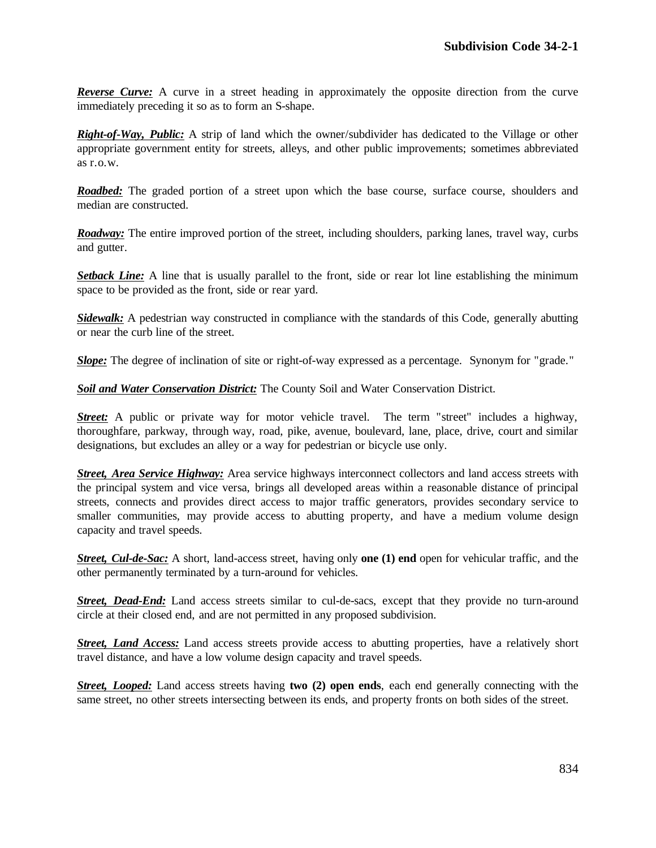*Reverse Curve:* A curve in a street heading in approximately the opposite direction from the curve immediately preceding it so as to form an S-shape.

*Right-of-Way, Public:* A strip of land which the owner/subdivider has dedicated to the Village or other appropriate government entity for streets, alleys, and other public improvements; sometimes abbreviated as r.o.w.

*Roadbed:* The graded portion of a street upon which the base course, surface course, shoulders and median are constructed.

*Roadway:* The entire improved portion of the street, including shoulders, parking lanes, travel way, curbs and gutter.

**Setback Line:** A line that is usually parallel to the front, side or rear lot line establishing the minimum space to be provided as the front, side or rear yard.

*Sidewalk:* A pedestrian way constructed in compliance with the standards of this Code, generally abutting or near the curb line of the street.

*Slope:* The degree of inclination of site or right-of-way expressed as a percentage. Synonym for "grade."

*Soil and Water Conservation District:* The County Soil and Water Conservation District.

*Street:* A public or private way for motor vehicle travel. The term "street" includes a highway, thoroughfare, parkway, through way, road, pike, avenue, boulevard, lane, place, drive, court and similar designations, but excludes an alley or a way for pedestrian or bicycle use only.

*Street, Area Service Highway:* Area service highways interconnect collectors and land access streets with the principal system and vice versa, brings all developed areas within a reasonable distance of principal streets, connects and provides direct access to major traffic generators, provides secondary service to smaller communities, may provide access to abutting property, and have a medium volume design capacity and travel speeds.

*Street, Cul-de-Sac:* A short, land-access street, having only **one (1) end** open for vehicular traffic, and the other permanently terminated by a turn-around for vehicles.

*Street, Dead-End:* Land access streets similar to cul-de-sacs, except that they provide no turn-around circle at their closed end, and are not permitted in any proposed subdivision.

*Street, Land Access:* Land access streets provide access to abutting properties, have a relatively short travel distance, and have a low volume design capacity and travel speeds.

*Street, Looped:* Land access streets having **two (2) open ends**, each end generally connecting with the same street, no other streets intersecting between its ends, and property fronts on both sides of the street.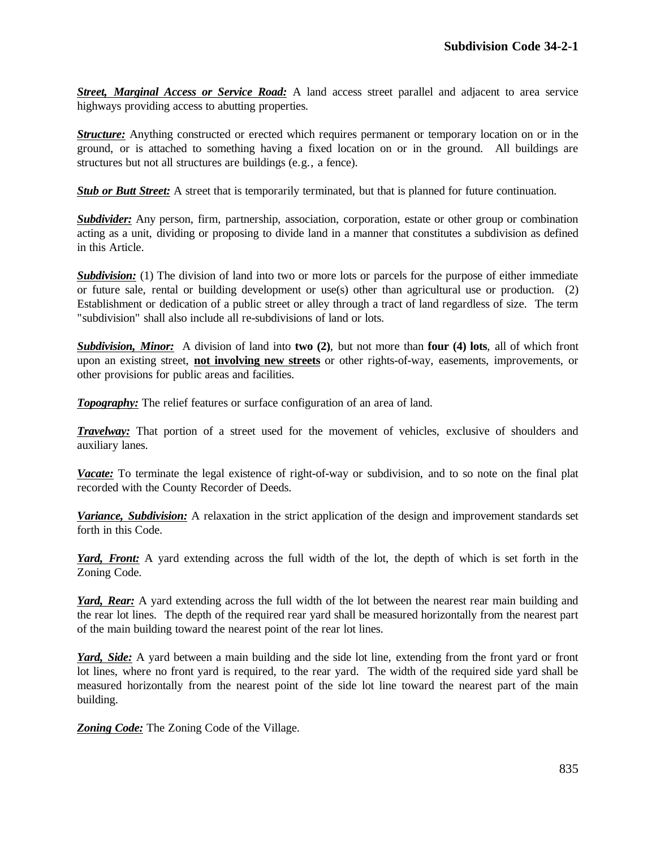*Street, Marginal Access or Service Road:* A land access street parallel and adjacent to area service highways providing access to abutting properties.

*Structure:* Anything constructed or erected which requires permanent or temporary location on or in the ground, or is attached to something having a fixed location on or in the ground. All buildings are structures but not all structures are buildings (e.g., a fence).

**Stub or Butt Street:** A street that is temporarily terminated, but that is planned for future continuation.

*Subdivider:* Any person, firm, partnership, association, corporation, estate or other group or combination acting as a unit, dividing or proposing to divide land in a manner that constitutes a subdivision as defined in this Article.

*Subdivision:* (1) The division of land into two or more lots or parcels for the purpose of either immediate or future sale, rental or building development or use(s) other than agricultural use or production. (2) Establishment or dedication of a public street or alley through a tract of land regardless of size. The term "subdivision" shall also include all re-subdivisions of land or lots.

*Subdivision, Minor:* A division of land into **two (2)**, but not more than **four (4) lots**, all of which front upon an existing street, **not involving new streets** or other rights-of-way, easements, improvements, or other provisions for public areas and facilities.

**Topography:** The relief features or surface configuration of an area of land.

*Travelway:* That portion of a street used for the movement of vehicles, exclusive of shoulders and auxiliary lanes.

*Vacate:* To terminate the legal existence of right-of-way or subdivision, and to so note on the final plat recorded with the County Recorder of Deeds.

*Variance, Subdivision:* A relaxation in the strict application of the design and improvement standards set forth in this Code.

*Yard, Front:* A yard extending across the full width of the lot, the depth of which is set forth in the Zoning Code.

*Yard, Rear:* A yard extending across the full width of the lot between the nearest rear main building and the rear lot lines. The depth of the required rear yard shall be measured horizontally from the nearest part of the main building toward the nearest point of the rear lot lines.

*Yard, Side:* A yard between a main building and the side lot line, extending from the front yard or front lot lines, where no front yard is required, to the rear yard. The width of the required side yard shall be measured horizontally from the nearest point of the side lot line toward the nearest part of the main building.

*Zoning Code:* The Zoning Code of the Village.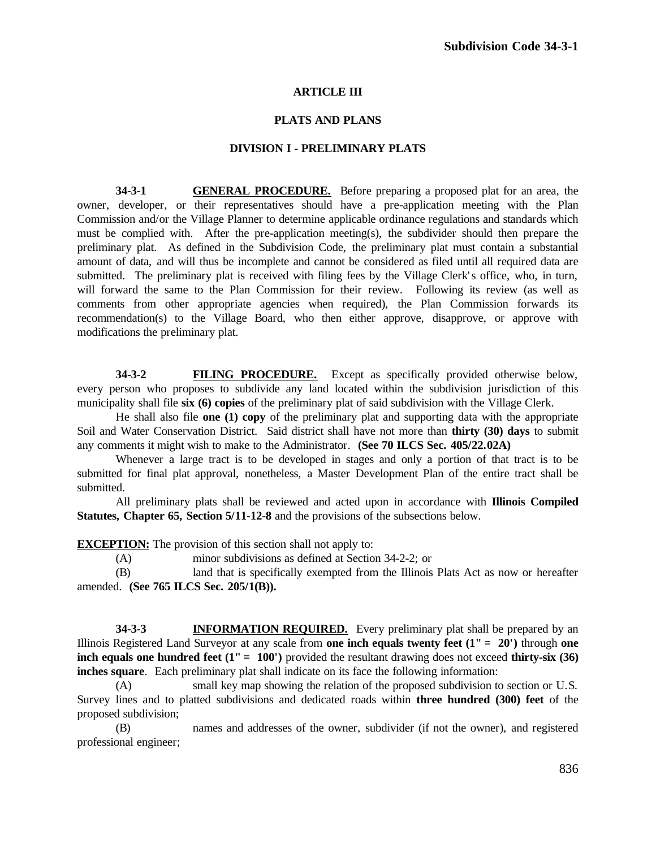#### **ARTICLE III**

#### **PLATS AND PLANS**

#### **DIVISION I - PRELIMINARY PLATS**

**34-3-1 GENERAL PROCEDURE.** Before preparing a proposed plat for an area, the owner, developer, or their representatives should have a pre-application meeting with the Plan Commission and/or the Village Planner to determine applicable ordinance regulations and standards which must be complied with. After the pre-application meeting(s), the subdivider should then prepare the preliminary plat. As defined in the Subdivision Code, the preliminary plat must contain a substantial amount of data, and will thus be incomplete and cannot be considered as filed until all required data are submitted. The preliminary plat is received with filing fees by the Village Clerk's office, who, in turn, will forward the same to the Plan Commission for their review. Following its review (as well as comments from other appropriate agencies when required), the Plan Commission forwards its recommendation(s) to the Village Board, who then either approve, disapprove, or approve with modifications the preliminary plat.

**34-3-2 FILING PROCEDURE.** Except as specifically provided otherwise below, every person who proposes to subdivide any land located within the subdivision jurisdiction of this municipality shall file **six (6) copies** of the preliminary plat of said subdivision with the Village Clerk.

He shall also file **one (1) copy** of the preliminary plat and supporting data with the appropriate Soil and Water Conservation District. Said district shall have not more than **thirty (30) days** to submit any comments it might wish to make to the Administrator. **(See 70 ILCS Sec. 405/22.02A)**

Whenever a large tract is to be developed in stages and only a portion of that tract is to be submitted for final plat approval, nonetheless, a Master Development Plan of the entire tract shall be submitted.

All preliminary plats shall be reviewed and acted upon in accordance with **Illinois Compiled Statutes, Chapter 65, Section 5/11-12-8** and the provisions of the subsections below.

**EXCEPTION:** The provision of this section shall not apply to:

(A) minor subdivisions as defined at Section 34-2-2; or

(B) land that is specifically exempted from the Illinois Plats Act as now or hereafter amended. **(See 765 ILCS Sec. 205/1(B)).**

**34-3-3 INFORMATION REQUIRED.** Every preliminary plat shall be prepared by an Illinois Registered Land Surveyor at any scale from **one inch equals twenty feet (1" = 20')** through **one inch equals one hundred feet (1" = 100")** provided the resultant drawing does not exceed **thirty-six (36) inches square**. Each preliminary plat shall indicate on its face the following information:

(A) small key map showing the relation of the proposed subdivision to section or U.S. Survey lines and to platted subdivisions and dedicated roads within **three hundred (300) feet** of the proposed subdivision;

(B) names and addresses of the owner, subdivider (if not the owner), and registered professional engineer;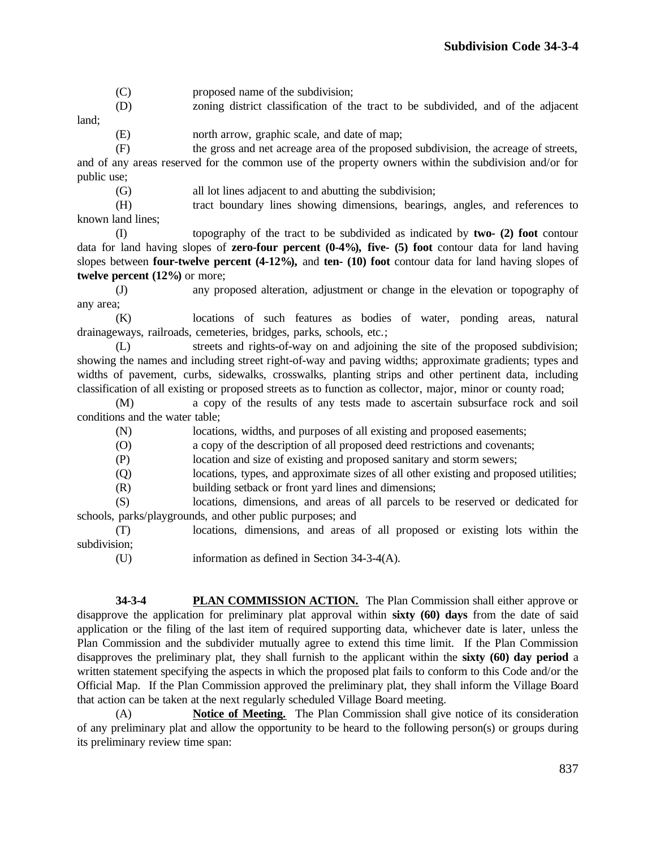- (C) proposed name of the subdivision;
- (D) zoning district classification of the tract to be subdivided, and of the adjacent land;
	- (E) north arrow, graphic scale, and date of map;

(F) the gross and net acreage area of the proposed subdivision, the acreage of streets, and of any areas reserved for the common use of the property owners within the subdivision and/or for public use;

(G) all lot lines adjacent to and abutting the subdivision;

(H) tract boundary lines showing dimensions, bearings, angles, and references to known land lines;

(I) topography of the tract to be subdivided as indicated by **two- (2) foot** contour data for land having slopes of **zero-four percent (0-4%), five- (5) foot** contour data for land having slopes between **four-twelve percent (4-12%),** and **ten- (10) foot** contour data for land having slopes of **twelve percent (12%)** or more;

(J) any proposed alteration, adjustment or change in the elevation or topography of any area;

(K) locations of such features as bodies of water, ponding areas, natural drainageways, railroads, cemeteries, bridges, parks, schools, etc.;

(L) streets and rights-of-way on and adjoining the site of the proposed subdivision; showing the names and including street right-of-way and paving widths; approximate gradients; types and widths of pavement, curbs, sidewalks, crosswalks, planting strips and other pertinent data, including classification of all existing or proposed streets as to function as collector, major, minor or county road;

(M) a copy of the results of any tests made to ascertain subsurface rock and soil conditions and the water table;

(N) locations, widths, and purposes of all existing and proposed easements;

(O) a copy of the description of all proposed deed restrictions and covenants;

(P) location and size of existing and proposed sanitary and storm sewers;

(Q) locations, types, and approximate sizes of all other existing and proposed utilities;

(R) building setback or front yard lines and dimensions;

(S) locations, dimensions, and areas of all parcels to be reserved or dedicated for schools, parks/playgrounds, and other public purposes; and

(T) locations, dimensions, and areas of all proposed or existing lots within the subdivision;

- - (U) information as defined in Section 34-3-4(A).

**34-3-4 PLAN COMMISSION ACTION.** The Plan Commission shall either approve or disapprove the application for preliminary plat approval within **sixty (60) days** from the date of said application or the filing of the last item of required supporting data, whichever date is later, unless the Plan Commission and the subdivider mutually agree to extend this time limit. If the Plan Commission disapproves the preliminary plat, they shall furnish to the applicant within the **sixty (60) day period** a written statement specifying the aspects in which the proposed plat fails to conform to this Code and/or the Official Map. If the Plan Commission approved the preliminary plat, they shall inform the Village Board that action can be taken at the next regularly scheduled Village Board meeting.

(A) **Notice of Meeting.** The Plan Commission shall give notice of its consideration of any preliminary plat and allow the opportunity to be heard to the following person(s) or groups during its preliminary review time span: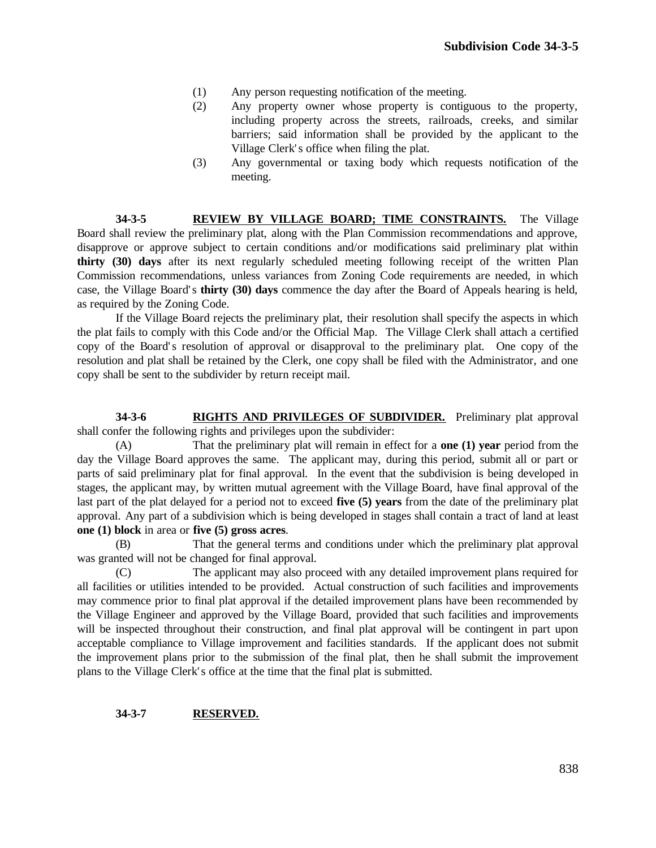- (1) Any person requesting notification of the meeting.
- (2) Any property owner whose property is contiguous to the property, including property across the streets, railroads, creeks, and similar barriers; said information shall be provided by the applicant to the Village Clerk' s office when filing the plat.
- (3) Any governmental or taxing body which requests notification of the meeting.

**34-3-5 REVIEW BY VILLAGE BOARD; TIME CONSTRAINTS.** The Village Board shall review the preliminary plat, along with the Plan Commission recommendations and approve, disapprove or approve subject to certain conditions and/or modifications said preliminary plat within **thirty (30) days** after its next regularly scheduled meeting following receipt of the written Plan Commission recommendations, unless variances from Zoning Code requirements are needed, in which case, the Village Board' s **thirty (30) days** commence the day after the Board of Appeals hearing is held, as required by the Zoning Code.

If the Village Board rejects the preliminary plat, their resolution shall specify the aspects in which the plat fails to comply with this Code and/or the Official Map. The Village Clerk shall attach a certified copy of the Board' s resolution of approval or disapproval to the preliminary plat. One copy of the resolution and plat shall be retained by the Clerk, one copy shall be filed with the Administrator, and one copy shall be sent to the subdivider by return receipt mail.

**34-3-6 RIGHTS AND PRIVILEGES OF SUBDIVIDER.** Preliminary plat approval shall confer the following rights and privileges upon the subdivider:

(A) That the preliminary plat will remain in effect for a **one (1) year** period from the day the Village Board approves the same. The applicant may, during this period, submit all or part or parts of said preliminary plat for final approval. In the event that the subdivision is being developed in stages, the applicant may, by written mutual agreement with the Village Board, have final approval of the last part of the plat delayed for a period not to exceed **five (5) years** from the date of the preliminary plat approval. Any part of a subdivision which is being developed in stages shall contain a tract of land at least **one (1) block** in area or **five (5) gross acres**.

(B) That the general terms and conditions under which the preliminary plat approval was granted will not be changed for final approval.

(C) The applicant may also proceed with any detailed improvement plans required for all facilities or utilities intended to be provided. Actual construction of such facilities and improvements may commence prior to final plat approval if the detailed improvement plans have been recommended by the Village Engineer and approved by the Village Board, provided that such facilities and improvements will be inspected throughout their construction, and final plat approval will be contingent in part upon acceptable compliance to Village improvement and facilities standards. If the applicant does not submit the improvement plans prior to the submission of the final plat, then he shall submit the improvement plans to the Village Clerk' s office at the time that the final plat is submitted.

#### **34-3-7 RESERVED.**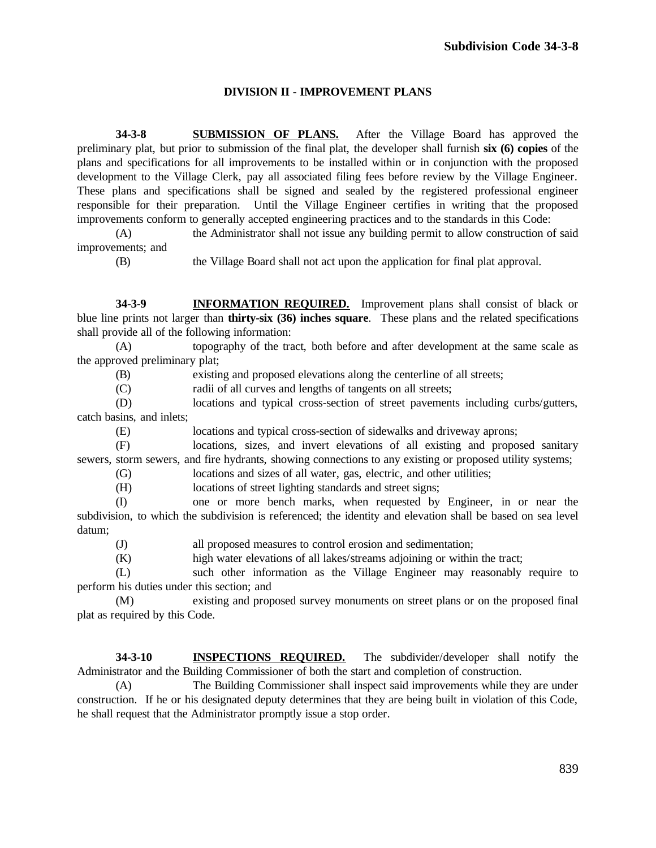## **DIVISION II - IMPROVEMENT PLANS**

**34-3-8 SUBMISSION OF PLANS.** After the Village Board has approved the preliminary plat, but prior to submission of the final plat, the developer shall furnish **six (6) copies** of the plans and specifications for all improvements to be installed within or in conjunction with the proposed development to the Village Clerk, pay all associated filing fees before review by the Village Engineer. These plans and specifications shall be signed and sealed by the registered professional engineer responsible for their preparation. Until the Village Engineer certifies in writing that the proposed improvements conform to generally accepted engineering practices and to the standards in this Code:

(A) the Administrator shall not issue any building permit to allow construction of said improvements; and

(B) the Village Board shall not act upon the application for final plat approval.

**34-3-9 INFORMATION REQUIRED.** Improvement plans shall consist of black or blue line prints not larger than **thirty-six (36) inches square**. These plans and the related specifications shall provide all of the following information:

(A) topography of the tract, both before and after development at the same scale as the approved preliminary plat;

(B) existing and proposed elevations along the centerline of all streets;

(C) radii of all curves and lengths of tangents on all streets;

(D) locations and typical cross-section of street pavements including curbs/gutters, catch basins, and inlets;

(E) locations and typical cross-section of sidewalks and driveway aprons;

(F) locations, sizes, and invert elevations of all existing and proposed sanitary sewers, storm sewers, and fire hydrants, showing connections to any existing or proposed utility systems;

(G) locations and sizes of all water, gas, electric, and other utilities;

(H) locations of street lighting standards and street signs;

(I) one or more bench marks, when requested by Engineer, in or near the subdivision, to which the subdivision is referenced; the identity and elevation shall be based on sea level datum;

(J) all proposed measures to control erosion and sedimentation;

(K) high water elevations of all lakes/streams adjoining or within the tract;

(L) such other information as the Village Engineer may reasonably require to perform his duties under this section; and

(M) existing and proposed survey monuments on street plans or on the proposed final plat as required by this Code.

**34-3-10 INSPECTIONS REQUIRED.** The subdivider/developer shall notify the Administrator and the Building Commissioner of both the start and completion of construction.

(A) The Building Commissioner shall inspect said improvements while they are under construction. If he or his designated deputy determines that they are being built in violation of this Code, he shall request that the Administrator promptly issue a stop order.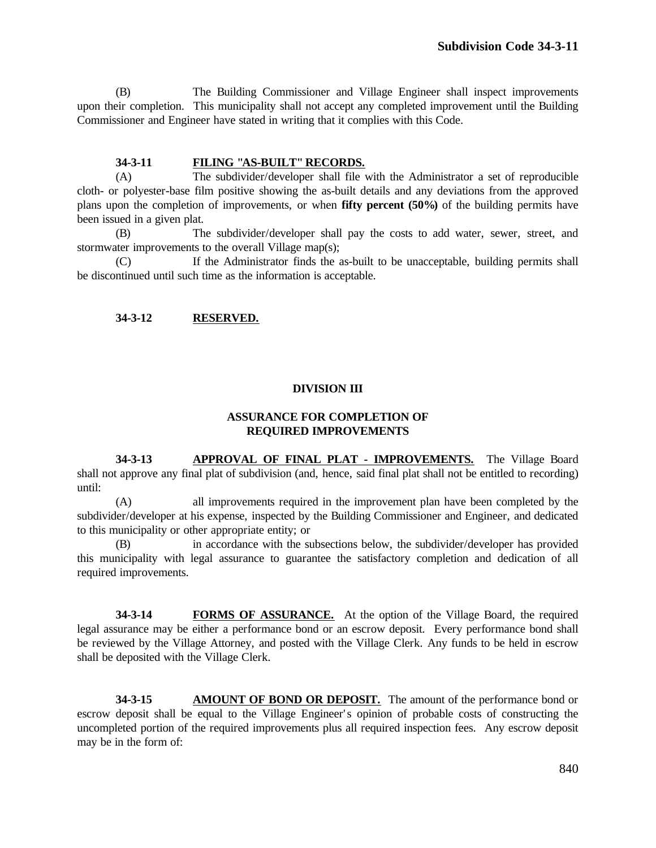(B) The Building Commissioner and Village Engineer shall inspect improvements upon their completion. This municipality shall not accept any completed improvement until the Building Commissioner and Engineer have stated in writing that it complies with this Code.

#### **34-3-11 FILING "AS-BUILT" RECORDS.**

(A) The subdivider/developer shall file with the Administrator a set of reproducible cloth- or polyester-base film positive showing the as-built details and any deviations from the approved plans upon the completion of improvements, or when **fifty percent (50%)** of the building permits have been issued in a given plat.

(B) The subdivider/developer shall pay the costs to add water, sewer, street, and stormwater improvements to the overall Village map(s);

(C) If the Administrator finds the as-built to be unacceptable, building permits shall be discontinued until such time as the information is acceptable.

## **34-3-12 RESERVED.**

# **DIVISION III**

## **ASSURANCE FOR COMPLETION OF REQUIRED IMPROVEMENTS**

**34-3-13 APPROVAL OF FINAL PLAT - IMPROVEMENTS.** The Village Board shall not approve any final plat of subdivision (and, hence, said final plat shall not be entitled to recording) until:

(A) all improvements required in the improvement plan have been completed by the subdivider/developer at his expense, inspected by the Building Commissioner and Engineer, and dedicated to this municipality or other appropriate entity; or

(B) in accordance with the subsections below, the subdivider/developer has provided this municipality with legal assurance to guarantee the satisfactory completion and dedication of all required improvements.

**34-3-14 FORMS OF ASSURANCE.** At the option of the Village Board, the required legal assurance may be either a performance bond or an escrow deposit. Every performance bond shall be reviewed by the Village Attorney, and posted with the Village Clerk. Any funds to be held in escrow shall be deposited with the Village Clerk.

**34-3-15 AMOUNT OF BOND OR DEPOSIT.** The amount of the performance bond or escrow deposit shall be equal to the Village Engineer' s opinion of probable costs of constructing the uncompleted portion of the required improvements plus all required inspection fees. Any escrow deposit may be in the form of: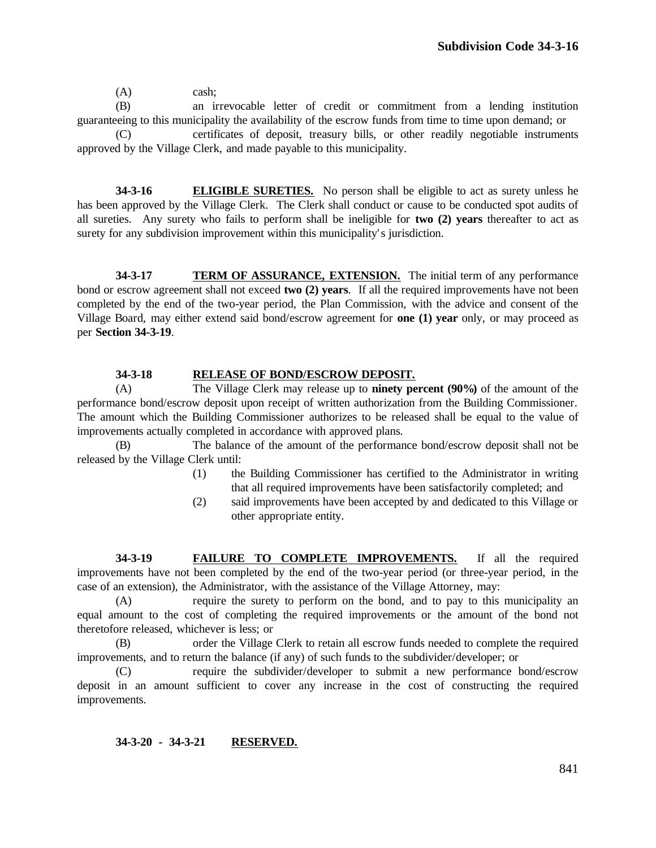(A) cash;

(B) an irrevocable letter of credit or commitment from a lending institution guaranteeing to this municipality the availability of the escrow funds from time to time upon demand; or

(C) certificates of deposit, treasury bills, or other readily negotiable instruments approved by the Village Clerk, and made payable to this municipality.

**34-3-16 ELIGIBLE SURETIES.** No person shall be eligible to act as surety unless he has been approved by the Village Clerk. The Clerk shall conduct or cause to be conducted spot audits of all sureties. Any surety who fails to perform shall be ineligible for **two (2) years** thereafter to act as surety for any subdivision improvement within this municipality's jurisdiction.

**34-3-17 TERM OF ASSURANCE, EXTENSION.** The initial term of any performance bond or escrow agreement shall not exceed **two (2) years**. If all the required improvements have not been completed by the end of the two-year period, the Plan Commission, with the advice and consent of the Village Board, may either extend said bond/escrow agreement for **one (1) year** only, or may proceed as per **Section 34-3-19**.

## **34-3-18 RELEASE OF BOND/ESCROW DEPOSIT.**

(A) The Village Clerk may release up to **ninety percent (90%)** of the amount of the performance bond/escrow deposit upon receipt of written authorization from the Building Commissioner. The amount which the Building Commissioner authorizes to be released shall be equal to the value of improvements actually completed in accordance with approved plans.

(B) The balance of the amount of the performance bond/escrow deposit shall not be released by the Village Clerk until:

- (1) the Building Commissioner has certified to the Administrator in writing that all required improvements have been satisfactorily completed; and
- (2) said improvements have been accepted by and dedicated to this Village or other appropriate entity.

**34-3-19 FAILURE TO COMPLETE IMPROVEMENTS.** If all the required improvements have not been completed by the end of the two-year period (or three-year period, in the case of an extension), the Administrator, with the assistance of the Village Attorney, may:

(A) require the surety to perform on the bond, and to pay to this municipality an equal amount to the cost of completing the required improvements or the amount of the bond not theretofore released, whichever is less; or

(B) order the Village Clerk to retain all escrow funds needed to complete the required improvements, and to return the balance (if any) of such funds to the subdivider/developer; or

(C) require the subdivider/developer to submit a new performance bond/escrow deposit in an amount sufficient to cover any increase in the cost of constructing the required improvements.

## **34-3-20 - 34-3-21 RESERVED.**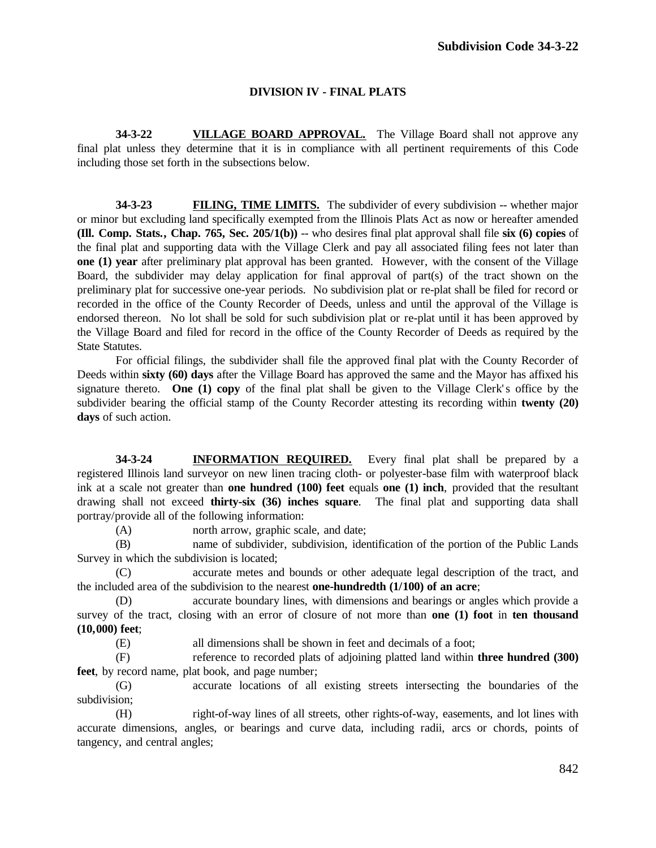# **DIVISION IV - FINAL PLATS**

**34-3-22 VILLAGE BOARD APPROVAL.** The Village Board shall not approve any final plat unless they determine that it is in compliance with all pertinent requirements of this Code including those set forth in the subsections below.

**34-3-23 FILING, TIME LIMITS.** The subdivider of every subdivision -- whether major or minor but excluding land specifically exempted from the Illinois Plats Act as now or hereafter amended **(Ill. Comp. Stats., Chap. 765, Sec. 205/1(b))** -- who desires final plat approval shall file **six (6) copies** of the final plat and supporting data with the Village Clerk and pay all associated filing fees not later than **one (1) year** after preliminary plat approval has been granted. However, with the consent of the Village Board, the subdivider may delay application for final approval of part(s) of the tract shown on the preliminary plat for successive one-year periods. No subdivision plat or re-plat shall be filed for record or recorded in the office of the County Recorder of Deeds, unless and until the approval of the Village is endorsed thereon. No lot shall be sold for such subdivision plat or re-plat until it has been approved by the Village Board and filed for record in the office of the County Recorder of Deeds as required by the State Statutes.

For official filings, the subdivider shall file the approved final plat with the County Recorder of Deeds within **sixty (60) days** after the Village Board has approved the same and the Mayor has affixed his signature thereto. **One (1) copy** of the final plat shall be given to the Village Clerk's office by the subdivider bearing the official stamp of the County Recorder attesting its recording within **twenty (20) days** of such action.

**34-3-24 INFORMATION REQUIRED.** Every final plat shall be prepared by a registered Illinois land surveyor on new linen tracing cloth- or polyester-base film with waterproof black ink at a scale not greater than **one hundred (100) feet** equals **one (1) inch**, provided that the resultant drawing shall not exceed **thirty-six (36) inches square**. The final plat and supporting data shall portray/provide all of the following information:

(A) north arrow, graphic scale, and date;

(B) name of subdivider, subdivision, identification of the portion of the Public Lands Survey in which the subdivision is located;

(C) accurate metes and bounds or other adequate legal description of the tract, and the included area of the subdivision to the nearest **one-hundredth (1/100) of an acre**;

(D) accurate boundary lines, with dimensions and bearings or angles which provide a survey of the tract, closing with an error of closure of not more than **one (1) foot** in **ten thousand (10,000) feet**;

(E) all dimensions shall be shown in feet and decimals of a foot;

(F) reference to recorded plats of adjoining platted land within **three hundred (300) feet**, by record name, plat book, and page number;

(G) accurate locations of all existing streets intersecting the boundaries of the subdivision;

(H) right-of-way lines of all streets, other rights-of-way, easements, and lot lines with accurate dimensions, angles, or bearings and curve data, including radii, arcs or chords, points of tangency, and central angles;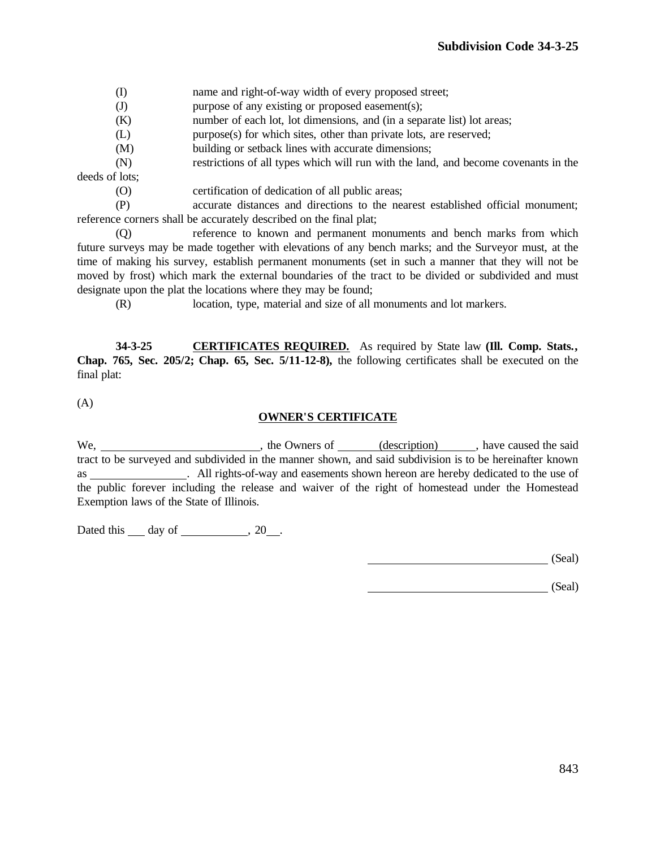- (I) name and right-of-way width of every proposed street;
- (J) purpose of any existing or proposed easement(s);
- (K) number of each lot, lot dimensions, and (in a separate list) lot areas;
- (L) purpose(s) for which sites, other than private lots, are reserved;
- (M) building or setback lines with accurate dimensions;

(N) restrictions of all types which will run with the land, and become covenants in the deeds of lots;

(O) certification of dedication of all public areas;

(P) accurate distances and directions to the nearest established official monument; reference corners shall be accurately described on the final plat;

(Q) reference to known and permanent monuments and bench marks from which future surveys may be made together with elevations of any bench marks; and the Surveyor must, at the time of making his survey, establish permanent monuments (set in such a manner that they will not be moved by frost) which mark the external boundaries of the tract to be divided or subdivided and must designate upon the plat the locations where they may be found;

(R) location, type, material and size of all monuments and lot markers.

**34-3-25 CERTIFICATES REQUIRED.** As required by State law **(Ill. Comp. Stats., Chap. 765, Sec. 205/2; Chap. 65, Sec. 5/11-12-8),** the following certificates shall be executed on the final plat:

(A)

#### **OWNER'S CERTIFICATE**

We, , the Owners of (description) , have caused the said tract to be surveyed and subdivided in the manner shown, and said subdivision is to be hereinafter known as . All rights-of-way and easements shown hereon are hereby dedicated to the use of the public forever including the release and waiver of the right of homestead under the Homestead Exemption laws of the State of Illinois.

Dated this day of , 20 .

(Seal)

(Seal)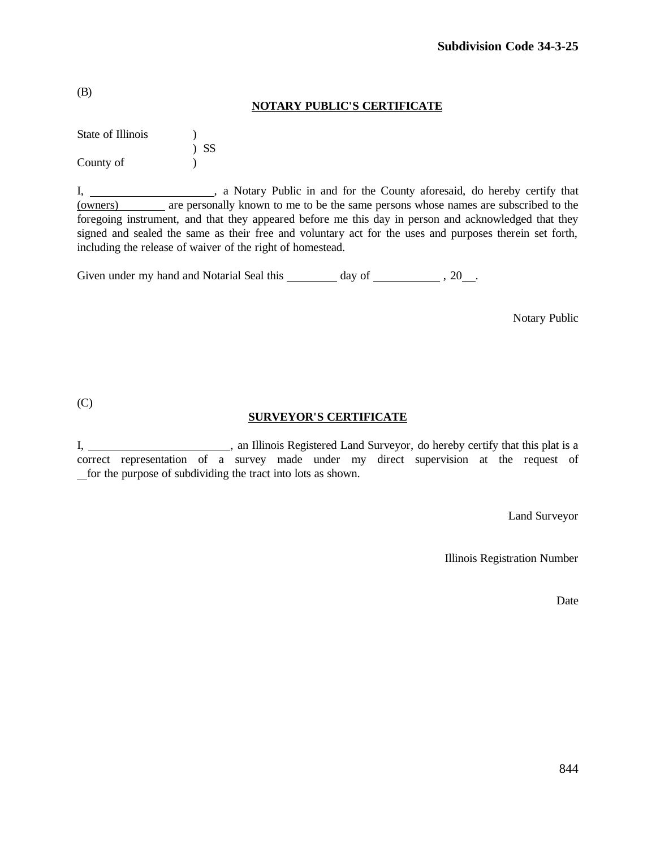|  |  |  | <b>NOTARY PUBLIC'S CERTIFICATE</b> |
|--|--|--|------------------------------------|
|--|--|--|------------------------------------|

| State of Illinois |        |
|-------------------|--------|
|                   | $)$ SS |
| County of         |        |

I, 1. All a Notary Public in and for the County aforesaid, do hereby certify that (owners) are personally known to me to be the same persons whose names are subscribed to the foregoing instrument, and that they appeared before me this day in person and acknowledged that they signed and sealed the same as their free and voluntary act for the uses and purposes therein set forth, including the release of waiver of the right of homestead.

Given under my hand and Notarial Seal this  $\frac{1}{\sqrt{2\pi}}$  day of  $\frac{1}{\sqrt{2\pi}}$ , 20 ...

Notary Public

(C)

# **SURVEYOR'S CERTIFICATE**

I, 1. 1. An Illinois Registered Land Surveyor, do hereby certify that this plat is a correct representation of a survey made under my direct supervision at the request of for the purpose of subdividing the tract into lots as shown.

Land Surveyor

Illinois Registration Number

Date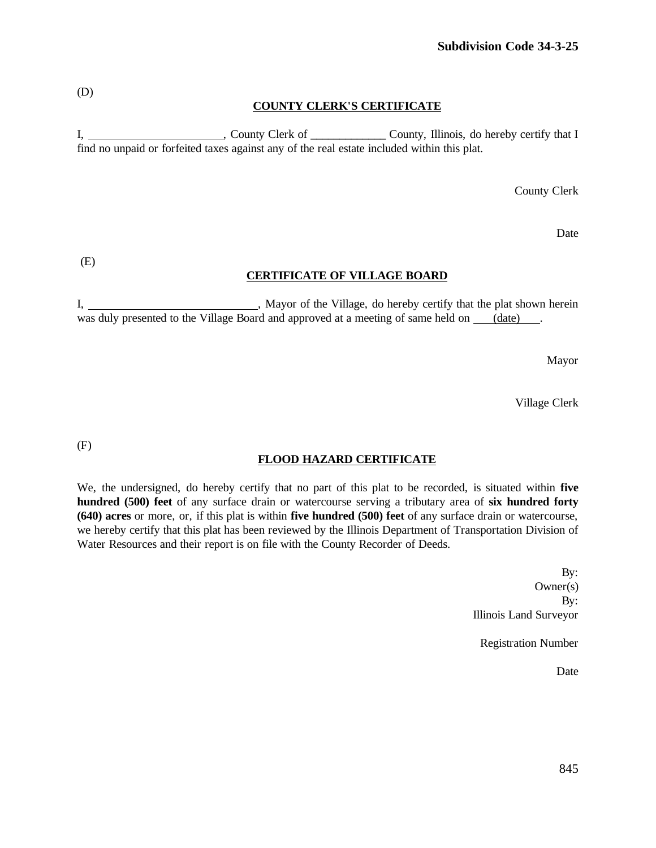# **COUNTY CLERK'S CERTIFICATE**

I, County Clerk of County, Illinois, do hereby certify that I find no unpaid or forfeited taxes against any of the real estate included within this plat.

County Clerk

Date

(E)

#### **CERTIFICATE OF VILLAGE BOARD**

I, Mayor of the Village, do hereby certify that the plat shown herein was duly presented to the Village Board and approved at a meeting of same held on (date).

Mayor

Village Clerk

(F)

## **FLOOD HAZARD CERTIFICATE**

We, the undersigned, do hereby certify that no part of this plat to be recorded, is situated within **five hundred (500) feet** of any surface drain or watercourse serving a tributary area of **six hundred forty (640) acres** or more, or, if this plat is within **five hundred (500) feet** of any surface drain or watercourse, we hereby certify that this plat has been reviewed by the Illinois Department of Transportation Division of Water Resources and their report is on file with the County Recorder of Deeds.

> By: Owner(s) By: Illinois Land Surveyor

Registration Number

Date

(D)

845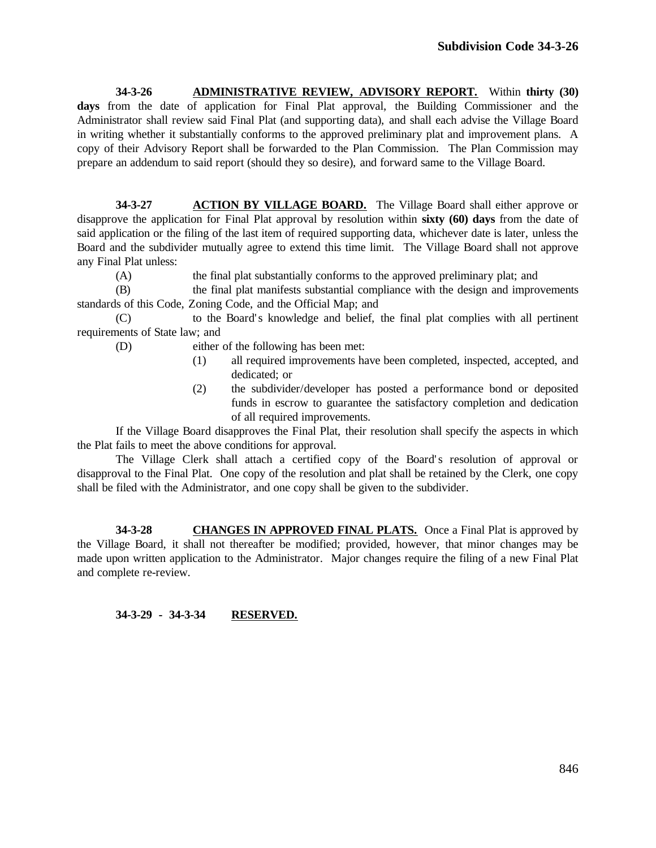**34-3-26 ADMINISTRATIVE REVIEW, ADVISORY REPORT.** Within **thirty (30) days** from the date of application for Final Plat approval, the Building Commissioner and the Administrator shall review said Final Plat (and supporting data), and shall each advise the Village Board in writing whether it substantially conforms to the approved preliminary plat and improvement plans. A copy of their Advisory Report shall be forwarded to the Plan Commission. The Plan Commission may prepare an addendum to said report (should they so desire), and forward same to the Village Board.

**34-3-27 ACTION BY VILLAGE BOARD.** The Village Board shall either approve or disapprove the application for Final Plat approval by resolution within **sixty (60) days** from the date of said application or the filing of the last item of required supporting data, whichever date is later, unless the Board and the subdivider mutually agree to extend this time limit. The Village Board shall not approve any Final Plat unless:

(A) the final plat substantially conforms to the approved preliminary plat; and

(B) the final plat manifests substantial compliance with the design and improvements standards of this Code, Zoning Code, and the Official Map; and

(C) to the Board' s knowledge and belief, the final plat complies with all pertinent requirements of State law; and

(D) either of the following has been met:

- (1) all required improvements have been completed, inspected, accepted, and dedicated; or
- (2) the subdivider/developer has posted a performance bond or deposited funds in escrow to guarantee the satisfactory completion and dedication of all required improvements.

If the Village Board disapproves the Final Plat, their resolution shall specify the aspects in which the Plat fails to meet the above conditions for approval.

The Village Clerk shall attach a certified copy of the Board's resolution of approval or disapproval to the Final Plat. One copy of the resolution and plat shall be retained by the Clerk, one copy shall be filed with the Administrator, and one copy shall be given to the subdivider.

**34-3-28 CHANGES IN APPROVED FINAL PLATS.** Once a Final Plat is approved by the Village Board, it shall not thereafter be modified; provided, however, that minor changes may be made upon written application to the Administrator. Major changes require the filing of a new Final Plat and complete re-review.

# **34-3-29 - 34-3-34 RESERVED.**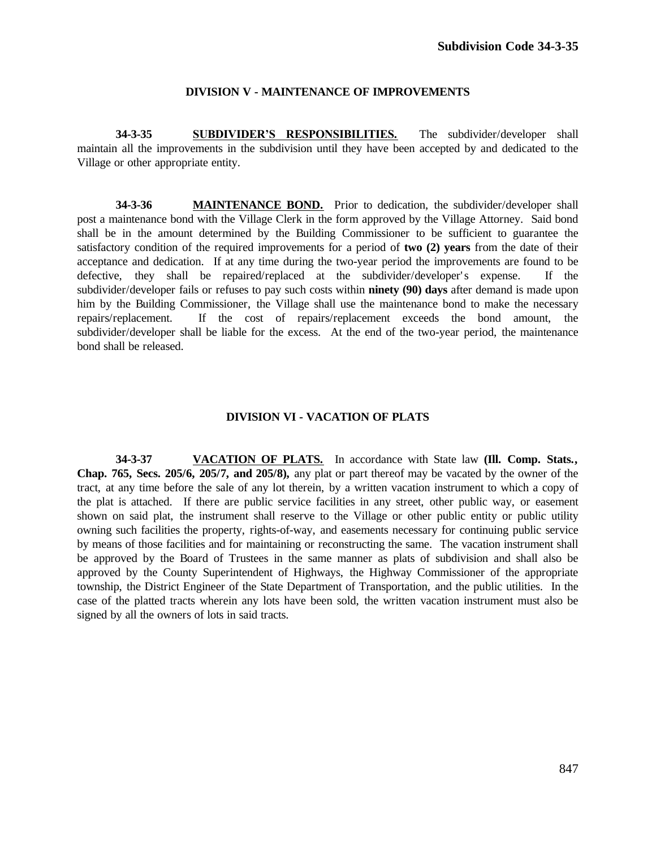#### **DIVISION V - MAINTENANCE OF IMPROVEMENTS**

**34-3-35 SUBDIVIDER'S RESPONSIBILITIES.** The subdivider/developer shall maintain all the improvements in the subdivision until they have been accepted by and dedicated to the Village or other appropriate entity.

**34-3-36 MAINTENANCE BOND.** Prior to dedication, the subdivider/developer shall post a maintenance bond with the Village Clerk in the form approved by the Village Attorney. Said bond shall be in the amount determined by the Building Commissioner to be sufficient to guarantee the satisfactory condition of the required improvements for a period of **two (2) years** from the date of their acceptance and dedication. If at any time during the two-year period the improvements are found to be defective, they shall be repaired/replaced at the subdivider/developer's expense. If the subdivider/developer fails or refuses to pay such costs within **ninety (90) days** after demand is made upon him by the Building Commissioner, the Village shall use the maintenance bond to make the necessary repairs/replacement. If the cost of repairs/replacement exceeds the bond amount, the subdivider/developer shall be liable for the excess. At the end of the two-year period, the maintenance bond shall be released.

#### **DIVISION VI - VACATION OF PLATS**

**34-3-37 VACATION OF PLATS.** In accordance with State law **(Ill. Comp. Stats., Chap. 765, Secs. 205/6, 205/7, and 205/8),** any plat or part thereof may be vacated by the owner of the tract, at any time before the sale of any lot therein, by a written vacation instrument to which a copy of the plat is attached. If there are public service facilities in any street, other public way, or easement shown on said plat, the instrument shall reserve to the Village or other public entity or public utility owning such facilities the property, rights-of-way, and easements necessary for continuing public service by means of those facilities and for maintaining or reconstructing the same. The vacation instrument shall be approved by the Board of Trustees in the same manner as plats of subdivision and shall also be approved by the County Superintendent of Highways, the Highway Commissioner of the appropriate township, the District Engineer of the State Department of Transportation, and the public utilities. In the case of the platted tracts wherein any lots have been sold, the written vacation instrument must also be signed by all the owners of lots in said tracts.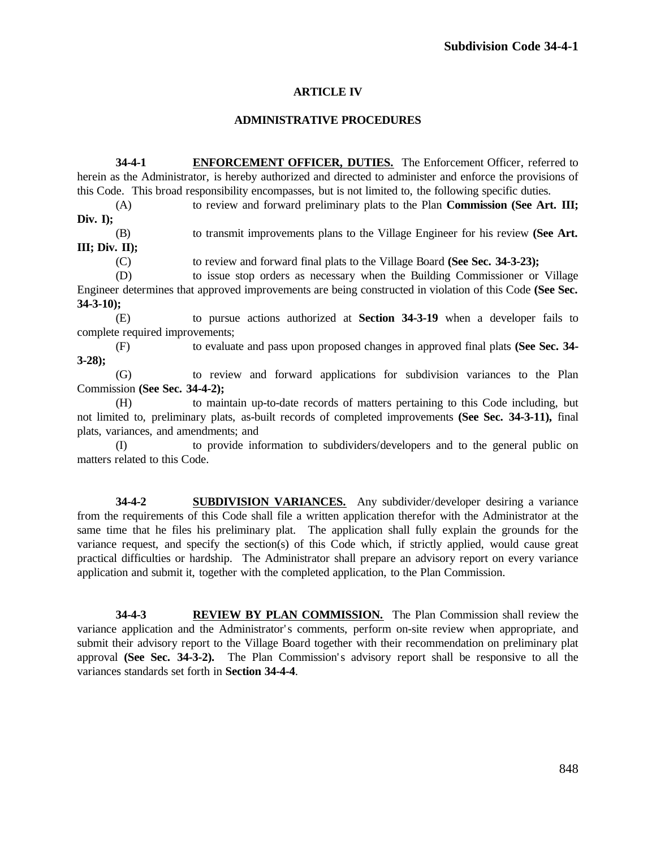# **ARTICLE IV**

## **ADMINISTRATIVE PROCEDURES**

**34-4-1 ENFORCEMENT OFFICER, DUTIES.** The Enforcement Officer, referred to herein as the Administrator, is hereby authorized and directed to administer and enforce the provisions of this Code. This broad responsibility encompasses, but is not limited to, the following specific duties.

(A) to review and forward preliminary plats to the Plan **Commission (See Art. III; Div. I);**

(B) to transmit improvements plans to the Village Engineer for his review **(See Art. III; Div. II);**

(C) to review and forward final plats to the Village Board **(See Sec. 34-3-23);**

(D) to issue stop orders as necessary when the Building Commissioner or Village Engineer determines that approved improvements are being constructed in violation of this Code **(See Sec. 34-3-10);**

(E) to pursue actions authorized at **Section 34-3-19** when a developer fails to complete required improvements;

(F) to evaluate and pass upon proposed changes in approved final plats **(See Sec. 34- 3-28);**

(G) to review and forward applications for subdivision variances to the Plan Commission **(See Sec. 34-4-2);**

(H) to maintain up-to-date records of matters pertaining to this Code including, but not limited to, preliminary plats, as-built records of completed improvements **(See Sec. 34-3-11),** final plats, variances, and amendments; and

(I) to provide information to subdividers/developers and to the general public on matters related to this Code.

**34-4-2 SUBDIVISION VARIANCES.** Any subdivider/developer desiring a variance from the requirements of this Code shall file a written application therefor with the Administrator at the same time that he files his preliminary plat. The application shall fully explain the grounds for the variance request, and specify the section(s) of this Code which, if strictly applied, would cause great practical difficulties or hardship. The Administrator shall prepare an advisory report on every variance application and submit it, together with the completed application, to the Plan Commission.

**34-4-3 REVIEW BY PLAN COMMISSION.** The Plan Commission shall review the variance application and the Administrator's comments, perform on-site review when appropriate, and submit their advisory report to the Village Board together with their recommendation on preliminary plat approval **(See Sec. 34-3-2).** The Plan Commission's advisory report shall be responsive to all the variances standards set forth in **Section 34-4-4**.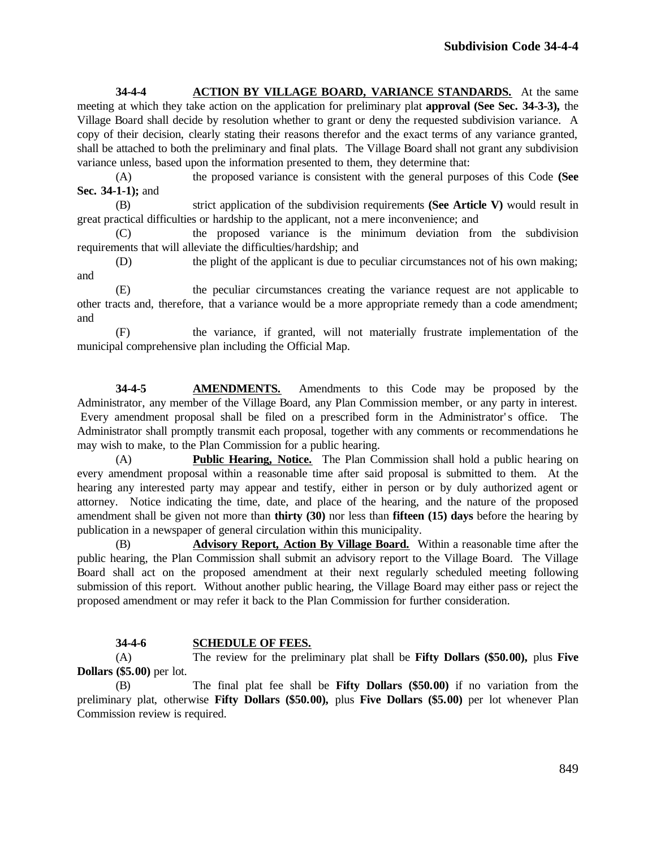**34-4-4 ACTION BY VILLAGE BOARD, VARIANCE STANDARDS.** At the same meeting at which they take action on the application for preliminary plat **approval (See Sec. 34-3-3),** the Village Board shall decide by resolution whether to grant or deny the requested subdivision variance. A copy of their decision, clearly stating their reasons therefor and the exact terms of any variance granted, shall be attached to both the preliminary and final plats. The Village Board shall not grant any subdivision variance unless, based upon the information presented to them, they determine that:

(A) the proposed variance is consistent with the general purposes of this Code **(See Sec. 34-1-1);** and

(B) strict application of the subdivision requirements **(See Article V)** would result in great practical difficulties or hardship to the applicant, not a mere inconvenience; and

(C) the proposed variance is the minimum deviation from the subdivision requirements that will alleviate the difficulties/hardship; and

(D) the plight of the applicant is due to peculiar circumstances not of his own making; and

(E) the peculiar circumstances creating the variance request are not applicable to other tracts and, therefore, that a variance would be a more appropriate remedy than a code amendment; and

(F) the variance, if granted, will not materially frustrate implementation of the municipal comprehensive plan including the Official Map.

**34-4-5 AMENDMENTS.** Amendments to this Code may be proposed by the Administrator, any member of the Village Board, any Plan Commission member, or any party in interest. Every amendment proposal shall be filed on a prescribed form in the Administrator's office. The Administrator shall promptly transmit each proposal, together with any comments or recommendations he may wish to make, to the Plan Commission for a public hearing.

(A) **Public Hearing, Notice.** The Plan Commission shall hold a public hearing on every amendment proposal within a reasonable time after said proposal is submitted to them. At the hearing any interested party may appear and testify, either in person or by duly authorized agent or attorney. Notice indicating the time, date, and place of the hearing, and the nature of the proposed amendment shall be given not more than **thirty (30)** nor less than **fifteen (15) days** before the hearing by publication in a newspaper of general circulation within this municipality.

(B) **Advisory Report, Action By Village Board.** Within a reasonable time after the public hearing, the Plan Commission shall submit an advisory report to the Village Board. The Village Board shall act on the proposed amendment at their next regularly scheduled meeting following submission of this report. Without another public hearing, the Village Board may either pass or reject the proposed amendment or may refer it back to the Plan Commission for further consideration.

# **34-4-6 SCHEDULE OF FEES.**

(A) The review for the preliminary plat shall be **Fifty Dollars (\$50.00),** plus **Five Dollars (\$5.00)** per lot.

(B) The final plat fee shall be **Fifty Dollars (\$50.00)** if no variation from the preliminary plat, otherwise **Fifty Dollars (\$50.00),** plus **Five Dollars (\$5.00)** per lot whenever Plan Commission review is required.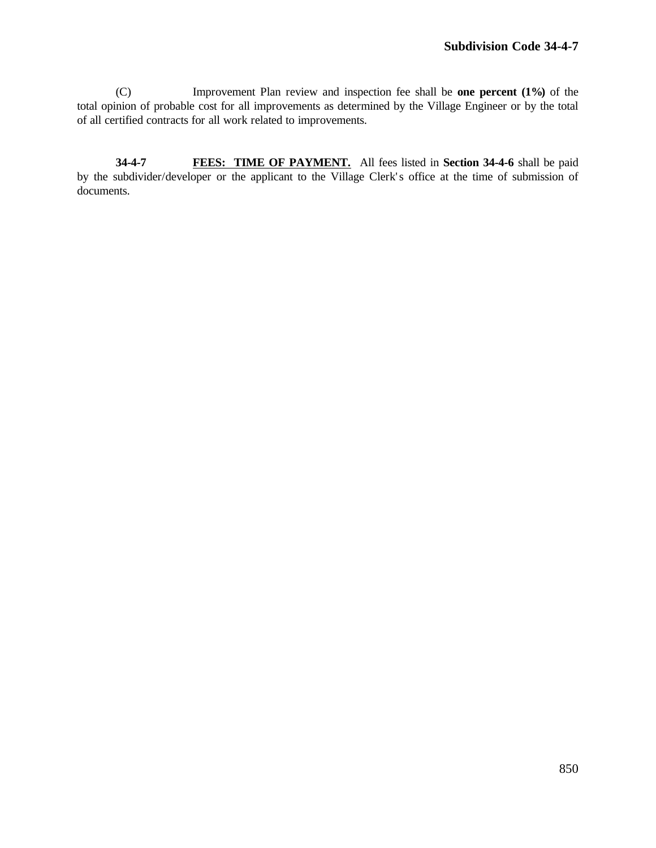(C) Improvement Plan review and inspection fee shall be **one percent (1%)** of the total opinion of probable cost for all improvements as determined by the Village Engineer or by the total of all certified contracts for all work related to improvements.

**34-4-7 FEES: TIME OF PAYMENT.** All fees listed in **Section 34-4-6** shall be paid by the subdivider/developer or the applicant to the Village Clerk's office at the time of submission of documents.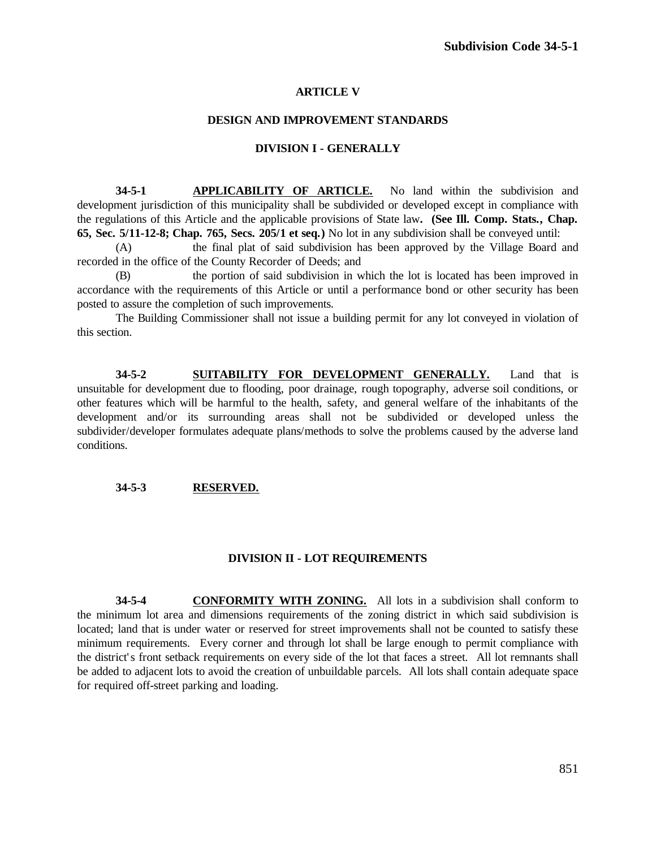## **ARTICLE V**

#### **DESIGN AND IMPROVEMENT STANDARDS**

#### **DIVISION I - GENERALLY**

**34-5-1 APPLICABILITY OF ARTICLE.** No land within the subdivision and development jurisdiction of this municipality shall be subdivided or developed except in compliance with the regulations of this Article and the applicable provisions of State law**. (See Ill. Comp. Stats., Chap. 65, Sec. 5/11-12-8; Chap. 765, Secs. 205/1 et seq.)** No lot in any subdivision shall be conveyed until:

(A) the final plat of said subdivision has been approved by the Village Board and recorded in the office of the County Recorder of Deeds; and

(B) the portion of said subdivision in which the lot is located has been improved in accordance with the requirements of this Article or until a performance bond or other security has been posted to assure the completion of such improvements.

The Building Commissioner shall not issue a building permit for any lot conveyed in violation of this section.

**34-5-2 SUITABILITY FOR DEVELOPMENT GENERALLY.** Land that is unsuitable for development due to flooding, poor drainage, rough topography, adverse soil conditions, or other features which will be harmful to the health, safety, and general welfare of the inhabitants of the development and/or its surrounding areas shall not be subdivided or developed unless the subdivider/developer formulates adequate plans/methods to solve the problems caused by the adverse land conditions.

#### **34-5-3 RESERVED.**

## **DIVISION II - LOT REQUIREMENTS**

**34-5-4 CONFORMITY WITH ZONING.** All lots in a subdivision shall conform to the minimum lot area and dimensions requirements of the zoning district in which said subdivision is located; land that is under water or reserved for street improvements shall not be counted to satisfy these minimum requirements. Every corner and through lot shall be large enough to permit compliance with the district' s front setback requirements on every side of the lot that faces a street. All lot remnants shall be added to adjacent lots to avoid the creation of unbuildable parcels. All lots shall contain adequate space for required off-street parking and loading.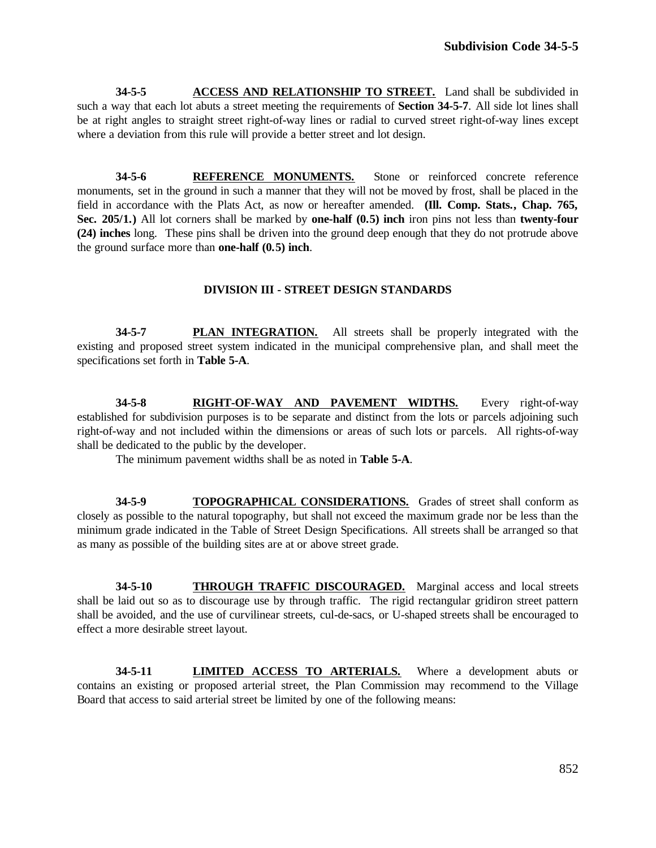**34-5-5 ACCESS AND RELATIONSHIP TO STREET.** Land shall be subdivided in such a way that each lot abuts a street meeting the requirements of **Section 34-5-7**. All side lot lines shall be at right angles to straight street right-of-way lines or radial to curved street right-of-way lines except where a deviation from this rule will provide a better street and lot design.

**34-5-6 REFERENCE MONUMENTS.** Stone or reinforced concrete reference monuments, set in the ground in such a manner that they will not be moved by frost, shall be placed in the field in accordance with the Plats Act, as now or hereafter amended. **(Ill. Comp. Stats., Chap. 765, Sec. 205/1.)** All lot corners shall be marked by **one-half (0.5) inch** iron pins not less than **twenty-four (24) inches** long. These pins shall be driven into the ground deep enough that they do not protrude above the ground surface more than **one-half (0.5) inch**.

## **DIVISION III - STREET DESIGN STANDARDS**

**34-5-7 PLAN INTEGRATION.** All streets shall be properly integrated with the existing and proposed street system indicated in the municipal comprehensive plan, and shall meet the specifications set forth in **Table 5-A**.

**34-5-8 RIGHT-OF-WAY AND PAVEMENT WIDTHS.** Every right-of-way established for subdivision purposes is to be separate and distinct from the lots or parcels adjoining such right-of-way and not included within the dimensions or areas of such lots or parcels. All rights-of-way shall be dedicated to the public by the developer.

The minimum pavement widths shall be as noted in **Table 5-A**.

**34-5-9 TOPOGRAPHICAL CONSIDERATIONS.** Grades of street shall conform as closely as possible to the natural topography, but shall not exceed the maximum grade nor be less than the minimum grade indicated in the Table of Street Design Specifications. All streets shall be arranged so that as many as possible of the building sites are at or above street grade.

**34-5-10 THROUGH TRAFFIC DISCOURAGED.** Marginal access and local streets shall be laid out so as to discourage use by through traffic. The rigid rectangular gridiron street pattern shall be avoided, and the use of curvilinear streets, cul-de-sacs, or U-shaped streets shall be encouraged to effect a more desirable street layout.

**34-5-11 LIMITED ACCESS TO ARTERIALS.** Where a development abuts or contains an existing or proposed arterial street, the Plan Commission may recommend to the Village Board that access to said arterial street be limited by one of the following means: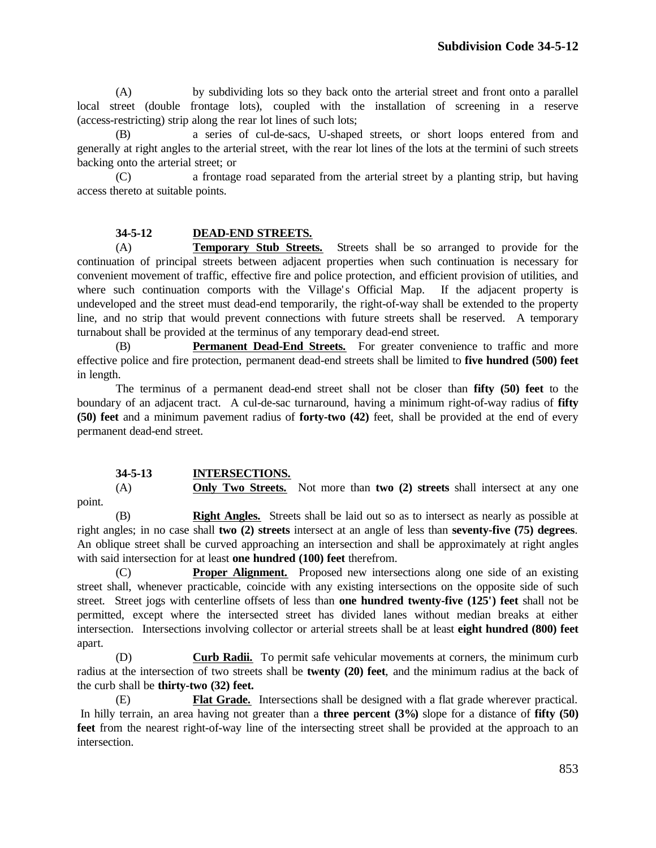(A) by subdividing lots so they back onto the arterial street and front onto a parallel local street (double frontage lots), coupled with the installation of screening in a reserve (access-restricting) strip along the rear lot lines of such lots;

(B) a series of cul-de-sacs, U-shaped streets, or short loops entered from and generally at right angles to the arterial street, with the rear lot lines of the lots at the termini of such streets backing onto the arterial street; or

(C) a frontage road separated from the arterial street by a planting strip, but having access thereto at suitable points.

## **34-5-12 DEAD-END STREETS.**

(A) **Temporary Stub Streets.** Streets shall be so arranged to provide for the continuation of principal streets between adjacent properties when such continuation is necessary for convenient movement of traffic, effective fire and police protection, and efficient provision of utilities, and where such continuation comports with the Village's Official Map. If the adjacent property is undeveloped and the street must dead-end temporarily, the right-of-way shall be extended to the property line, and no strip that would prevent connections with future streets shall be reserved. A temporary turnabout shall be provided at the terminus of any temporary dead-end street.

(B) **Permanent Dead-End Streets.** For greater convenience to traffic and more effective police and fire protection, permanent dead-end streets shall be limited to **five hundred (500) feet** in length.

The terminus of a permanent dead-end street shall not be closer than **fifty (50) feet** to the boundary of an adjacent tract. A cul-de-sac turnaround, having a minimum right-of-way radius of **fifty (50) feet** and a minimum pavement radius of **forty-two (42)** feet, shall be provided at the end of every permanent dead-end street.

## **34-5-13 INTERSECTIONS.**

(A) **Only Two Streets.** Not more than **two (2) streets** shall intersect at any one point.

(B) **Right Angles.** Streets shall be laid out so as to intersect as nearly as possible at right angles; in no case shall **two (2) streets** intersect at an angle of less than **seventy-five (75) degrees**. An oblique street shall be curved approaching an intersection and shall be approximately at right angles with said intersection for at least **one hundred (100) feet** therefrom.

(C) **Proper Alignment.** Proposed new intersections along one side of an existing street shall, whenever practicable, coincide with any existing intersections on the opposite side of such street. Street jogs with centerline offsets of less than **one hundred twenty-five (125') feet** shall not be permitted, except where the intersected street has divided lanes without median breaks at either intersection. Intersections involving collector or arterial streets shall be at least **eight hundred (800) feet** apart.

(D) **Curb Radii.** To permit safe vehicular movements at corners, the minimum curb radius at the intersection of two streets shall be **twenty (20) feet**, and the minimum radius at the back of the curb shall be **thirty-two (32) feet.**

(E) **Flat Grade.** Intersections shall be designed with a flat grade wherever practical. In hilly terrain, an area having not greater than a **three percent (3%)** slope for a distance of **fifty (50) feet** from the nearest right-of-way line of the intersecting street shall be provided at the approach to an intersection.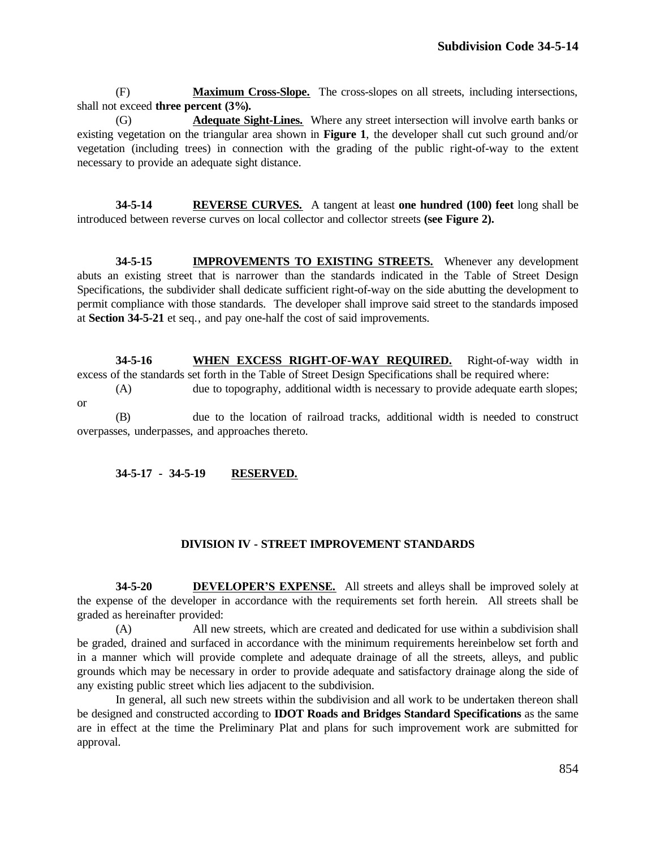(F) **Maximum Cross-Slope.** The cross-slopes on all streets, including intersections, shall not exceed **three percent (3%).**

(G) **Adequate Sight-Lines.** Where any street intersection will involve earth banks or existing vegetation on the triangular area shown in **Figure 1**, the developer shall cut such ground and/or vegetation (including trees) in connection with the grading of the public right-of-way to the extent necessary to provide an adequate sight distance.

**34-5-14 REVERSE CURVES.** A tangent at least **one hundred (100) feet** long shall be introduced between reverse curves on local collector and collector streets **(see Figure 2).**

**34-5-15 IMPROVEMENTS TO EXISTING STREETS.** Whenever any development abuts an existing street that is narrower than the standards indicated in the Table of Street Design Specifications, the subdivider shall dedicate sufficient right-of-way on the side abutting the development to permit compliance with those standards. The developer shall improve said street to the standards imposed at **Section 34-5-21** et seq., and pay one-half the cost of said improvements.

**34-5-16 WHEN EXCESS RIGHT-OF-WAY REQUIRED.** Right-of-way width in excess of the standards set forth in the Table of Street Design Specifications shall be required where:

(A) due to topography, additional width is necessary to provide adequate earth slopes; or

(B) due to the location of railroad tracks, additional width is needed to construct overpasses, underpasses, and approaches thereto.

## **34-5-17 - 34-5-19 RESERVED.**

# **DIVISION IV - STREET IMPROVEMENT STANDARDS**

**34-5-20 DEVELOPER'S EXPENSE.** All streets and alleys shall be improved solely at the expense of the developer in accordance with the requirements set forth herein. All streets shall be graded as hereinafter provided:

(A) All new streets, which are created and dedicated for use within a subdivision shall be graded, drained and surfaced in accordance with the minimum requirements hereinbelow set forth and in a manner which will provide complete and adequate drainage of all the streets, alleys, and public grounds which may be necessary in order to provide adequate and satisfactory drainage along the side of any existing public street which lies adjacent to the subdivision.

In general, all such new streets within the subdivision and all work to be undertaken thereon shall be designed and constructed according to **IDOT Roads and Bridges Standard Specifications** as the same are in effect at the time the Preliminary Plat and plans for such improvement work are submitted for approval.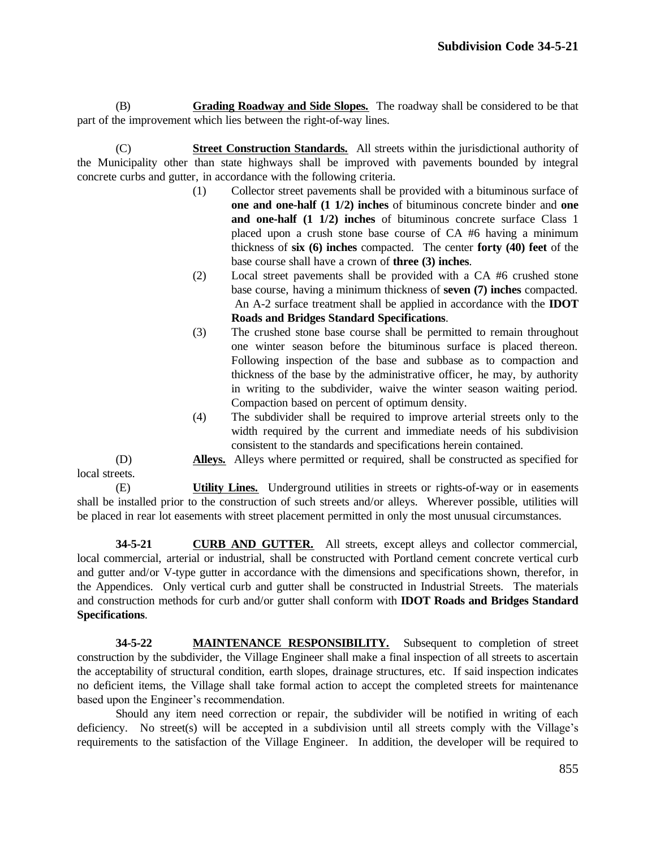(B) **Grading Roadway and Side Slopes.** The roadway shall be considered to be that part of the improvement which lies between the right-of-way lines.

(C) **Street Construction Standards.** All streets within the jurisdictional authority of the Municipality other than state highways shall be improved with pavements bounded by integral concrete curbs and gutter, in accordance with the following criteria.

- (1) Collector street pavements shall be provided with a bituminous surface of **one and one-half (1 1/2) inches** of bituminous concrete binder and **one and one-half (1 1/2) inches** of bituminous concrete surface Class 1 placed upon a crush stone base course of CA #6 having a minimum thickness of **six (6) inches** compacted. The center **forty (40) feet** of the base course shall have a crown of **three (3) inches**.
- (2) Local street pavements shall be provided with a CA #6 crushed stone base course, having a minimum thickness of **seven (7) inches** compacted. An A-2 surface treatment shall be applied in accordance with the **IDOT Roads and Bridges Standard Specifications**.
- (3) The crushed stone base course shall be permitted to remain throughout one winter season before the bituminous surface is placed thereon. Following inspection of the base and subbase as to compaction and thickness of the base by the administrative officer, he may, by authority in writing to the subdivider, waive the winter season waiting period. Compaction based on percent of optimum density.
- (4) The subdivider shall be required to improve arterial streets only to the width required by the current and immediate needs of his subdivision consistent to the standards and specifications herein contained.
- (D) **Alleys.** Alleys where permitted or required, shall be constructed as specified for local streets.

(E) **Utility Lines.** Underground utilities in streets or rights-of-way or in easements shall be installed prior to the construction of such streets and/or alleys. Wherever possible, utilities will be placed in rear lot easements with street placement permitted in only the most unusual circumstances.

**34-5-21 CURB AND GUTTER.** All streets, except alleys and collector commercial, local commercial, arterial or industrial, shall be constructed with Portland cement concrete vertical curb and gutter and/or V-type gutter in accordance with the dimensions and specifications shown, therefor, in the Appendices. Only vertical curb and gutter shall be constructed in Industrial Streets. The materials and construction methods for curb and/or gutter shall conform with **IDOT Roads and Bridges Standard Specifications**.

**34-5-22 MAINTENANCE RESPONSIBILITY.** Subsequent to completion of street construction by the subdivider, the Village Engineer shall make a final inspection of all streets to ascertain the acceptability of structural condition, earth slopes, drainage structures, etc. If said inspection indicates no deficient items, the Village shall take formal action to accept the completed streets for maintenance based upon the Engineer's recommendation.

Should any item need correction or repair, the subdivider will be notified in writing of each deficiency. No street(s) will be accepted in a subdivision until all streets comply with the Village's requirements to the satisfaction of the Village Engineer. In addition, the developer will be required to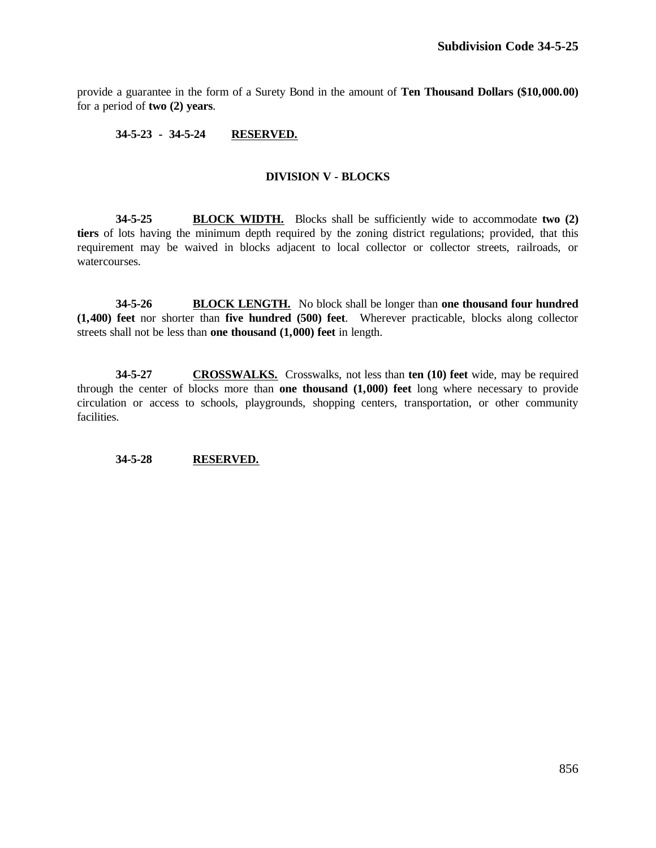provide a guarantee in the form of a Surety Bond in the amount of **Ten Thousand Dollars (\$10,000.00)** for a period of **two (2) years**.

## **34-5-23 - 34-5-24 RESERVED.**

# **DIVISION V - BLOCKS**

**34-5-25 BLOCK WIDTH.** Blocks shall be sufficiently wide to accommodate **two (2) tiers** of lots having the minimum depth required by the zoning district regulations; provided, that this requirement may be waived in blocks adjacent to local collector or collector streets, railroads, or watercourses.

**34-5-26 BLOCK LENGTH.** No block shall be longer than **one thousand four hundred (1,400) feet** nor shorter than **five hundred (500) feet**. Wherever practicable, blocks along collector streets shall not be less than **one thousand (1,000) feet** in length.

**34-5-27 CROSSWALKS.** Crosswalks, not less than **ten (10) feet** wide, may be required through the center of blocks more than **one thousand (1,000) feet** long where necessary to provide circulation or access to schools, playgrounds, shopping centers, transportation, or other community facilities.

## **34-5-28 RESERVED.**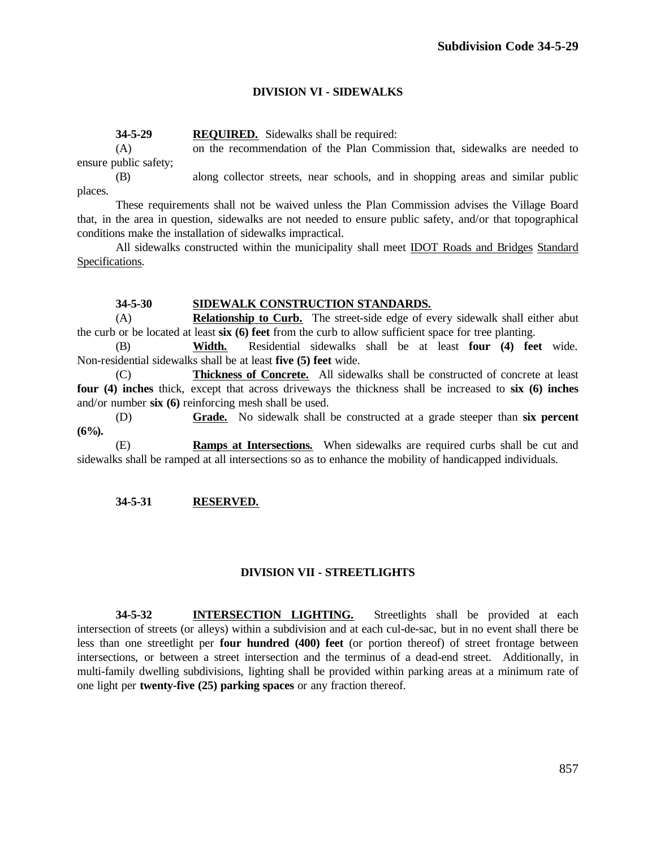# **DIVISION VI - SIDEWALKS**

**34-5-29 REQUIRED.** Sidewalks shall be required:

(A) on the recommendation of the Plan Commission that, sidewalks are needed to ensure public safety;

(B) along collector streets, near schools, and in shopping areas and similar public places.

These requirements shall not be waived unless the Plan Commission advises the Village Board that, in the area in question, sidewalks are not needed to ensure public safety, and/or that topographical conditions make the installation of sidewalks impractical.

All sidewalks constructed within the municipality shall meet IDOT Roads and Bridges Standard Specifications.

## **34-5-30 SIDEWALK CONSTRUCTION STANDARDS.**

(A) **Relationship to Curb.** The street-side edge of every sidewalk shall either abut the curb or be located at least **six (6) feet** from the curb to allow sufficient space for tree planting.

(B) **Width.** Residential sidewalks shall be at least **four (4) feet** wide. Non-residential sidewalks shall be at least **five (5) feet** wide.

(C) **Thickness of Concrete.** All sidewalks shall be constructed of concrete at least **four (4) inches** thick, except that across driveways the thickness shall be increased to **six (6) inches** and/or number **six (6)** reinforcing mesh shall be used.

(D) **Grade.** No sidewalk shall be constructed at a grade steeper than **six percent (6%).**

(E) **Ramps at Intersections.** When sidewalks are required curbs shall be cut and sidewalks shall be ramped at all intersections so as to enhance the mobility of handicapped individuals.

# **34-5-31 RESERVED.**

# **DIVISION VII - STREETLIGHTS**

**34-5-32 INTERSECTION LIGHTING.** Streetlights shall be provided at each intersection of streets (or alleys) within a subdivision and at each cul-de-sac, but in no event shall there be less than one streetlight per **four hundred (400) feet** (or portion thereof) of street frontage between intersections, or between a street intersection and the terminus of a dead-end street. Additionally, in multi-family dwelling subdivisions, lighting shall be provided within parking areas at a minimum rate of one light per **twenty-five (25) parking spaces** or any fraction thereof.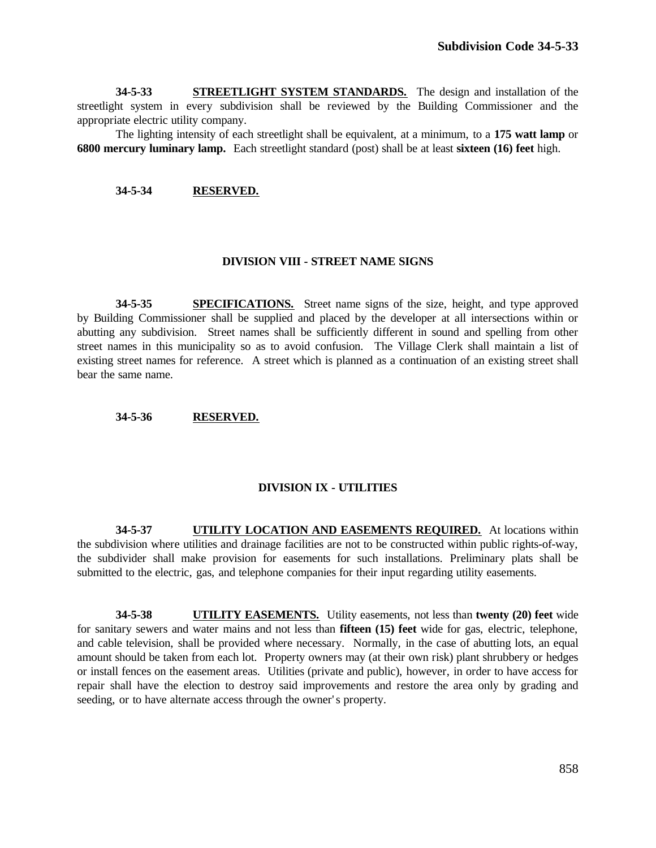**34-5-33 STREETLIGHT SYSTEM STANDARDS.** The design and installation of the streetlight system in every subdivision shall be reviewed by the Building Commissioner and the appropriate electric utility company.

The lighting intensity of each streetlight shall be equivalent, at a minimum, to a **175 watt lamp** or **6800 mercury luminary lamp.** Each streetlight standard (post) shall be at least **sixteen (16) feet** high.

#### **34-5-34 RESERVED.**

#### **DIVISION VIII - STREET NAME SIGNS**

**34-5-35 SPECIFICATIONS.** Street name signs of the size, height, and type approved by Building Commissioner shall be supplied and placed by the developer at all intersections within or abutting any subdivision. Street names shall be sufficiently different in sound and spelling from other street names in this municipality so as to avoid confusion. The Village Clerk shall maintain a list of existing street names for reference. A street which is planned as a continuation of an existing street shall bear the same name.

#### **34-5-36 RESERVED.**

#### **DIVISION IX - UTILITIES**

**34-5-37 UTILITY LOCATION AND EASEMENTS REQUIRED.** At locations within the subdivision where utilities and drainage facilities are not to be constructed within public rights-of-way, the subdivider shall make provision for easements for such installations. Preliminary plats shall be submitted to the electric, gas, and telephone companies for their input regarding utility easements.

**34-5-38 UTILITY EASEMENTS.** Utility easements, not less than **twenty (20) feet** wide for sanitary sewers and water mains and not less than **fifteen (15) feet** wide for gas, electric, telephone, and cable television, shall be provided where necessary. Normally, in the case of abutting lots, an equal amount should be taken from each lot. Property owners may (at their own risk) plant shrubbery or hedges or install fences on the easement areas. Utilities (private and public), however, in order to have access for repair shall have the election to destroy said improvements and restore the area only by grading and seeding, or to have alternate access through the owner's property.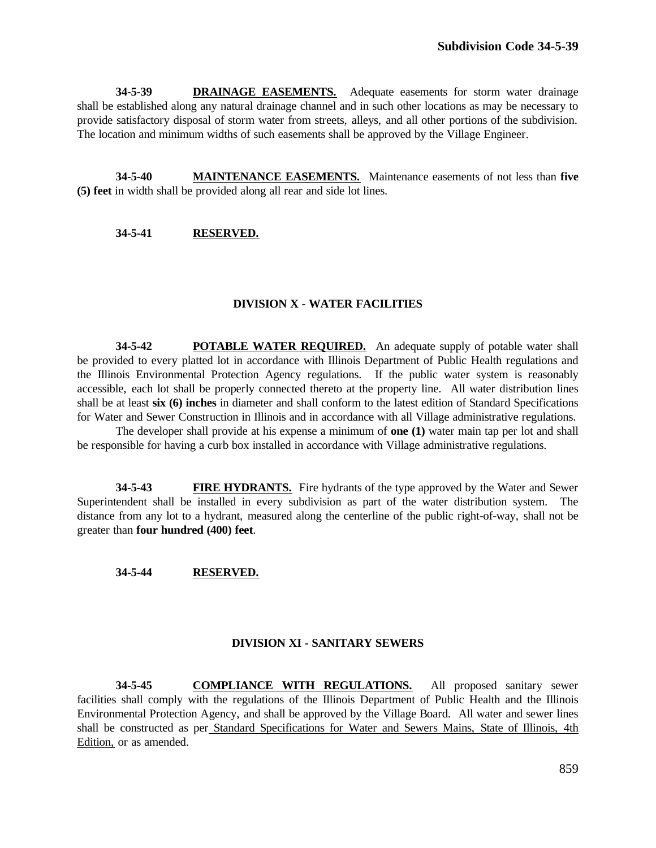**34-5-39 DRAINAGE EASEMENTS.** Adequate easements for storm water drainage shall be established along any natural drainage channel and in such other locations as may be necessary to provide satisfactory disposal of storm water from streets, alleys, and all other portions of the subdivision. The location and minimum widths of such easements shall be approved by the Village Engineer.

**34-5-40 MAINTENANCE EASEMENTS.** Maintenance easements of not less than **five (5) feet** in width shall be provided along all rear and side lot lines.

**34-5-41 RESERVED.**

## **DIVISION X - WATER FACILITIES**

**34-5-42 POTABLE WATER REQUIRED.** An adequate supply of potable water shall be provided to every platted lot in accordance with Illinois Department of Public Health regulations and the Illinois Environmental Protection Agency regulations. If the public water system is reasonably accessible, each lot shall be properly connected thereto at the property line. All water distribution lines shall be at least **six (6) inches** in diameter and shall conform to the latest edition of Standard Specifications for Water and Sewer Construction in Illinois and in accordance with all Village administrative regulations.

The developer shall provide at his expense a minimum of **one (1)** water main tap per lot and shall be responsible for having a curb box installed in accordance with Village administrative regulations.

**34-5-43 FIRE HYDRANTS.** Fire hydrants of the type approved by the Water and Sewer Superintendent shall be installed in every subdivision as part of the water distribution system. The distance from any lot to a hydrant, measured along the centerline of the public right-of-way, shall not be greater than **four hundred (400) feet**.

#### **34-5-44 RESERVED.**

#### **DIVISION XI - SANITARY SEWERS**

**34-5-45 COMPLIANCE WITH REGULATIONS.** All proposed sanitary sewer facilities shall comply with the regulations of the Illinois Department of Public Health and the Illinois Environmental Protection Agency, and shall be approved by the Village Board. All water and sewer lines shall be constructed as per Standard Specifications for Water and Sewers Mains, State of Illinois, 4th Edition, or as amended.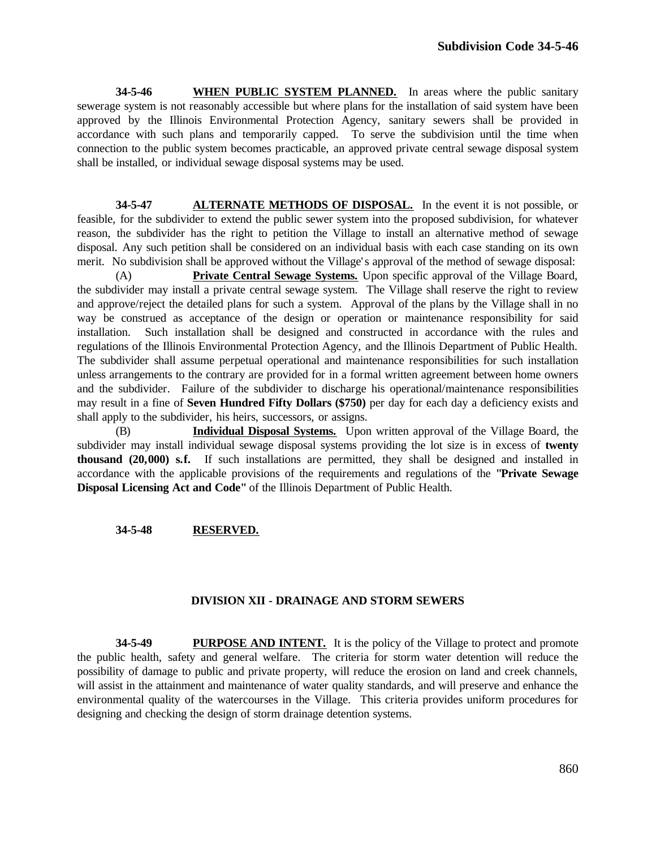**34-5-46 WHEN PUBLIC SYSTEM PLANNED.** In areas where the public sanitary sewerage system is not reasonably accessible but where plans for the installation of said system have been approved by the Illinois Environmental Protection Agency, sanitary sewers shall be provided in accordance with such plans and temporarily capped. To serve the subdivision until the time when connection to the public system becomes practicable, an approved private central sewage disposal system shall be installed, or individual sewage disposal systems may be used.

**34-5-47 ALTERNATE METHODS OF DISPOSAL.** In the event it is not possible, or feasible, for the subdivider to extend the public sewer system into the proposed subdivision, for whatever reason, the subdivider has the right to petition the Village to install an alternative method of sewage disposal. Any such petition shall be considered on an individual basis with each case standing on its own merit. No subdivision shall be approved without the Village's approval of the method of sewage disposal:

(A) **Private Central Sewage Systems.** Upon specific approval of the Village Board, the subdivider may install a private central sewage system. The Village shall reserve the right to review and approve/reject the detailed plans for such a system. Approval of the plans by the Village shall in no way be construed as acceptance of the design or operation or maintenance responsibility for said installation. Such installation shall be designed and constructed in accordance with the rules and regulations of the Illinois Environmental Protection Agency, and the Illinois Department of Public Health. The subdivider shall assume perpetual operational and maintenance responsibilities for such installation unless arrangements to the contrary are provided for in a formal written agreement between home owners and the subdivider. Failure of the subdivider to discharge his operational/maintenance responsibilities may result in a fine of **Seven Hundred Fifty Dollars (\$750)** per day for each day a deficiency exists and shall apply to the subdivider, his heirs, successors, or assigns.

(B) **Individual Disposal Systems.** Upon written approval of the Village Board, the subdivider may install individual sewage disposal systems providing the lot size is in excess of **twenty thousand (20,000) s.f.** If such installations are permitted, they shall be designed and installed in accordance with the applicable provisions of the requirements and regulations of the **"Private Sewage Disposal Licensing Act and Code"** of the Illinois Department of Public Health.

# **34-5-48 RESERVED.**

## **DIVISION XII - DRAINAGE AND STORM SEWERS**

**34-5-49 PURPOSE AND INTENT.** It is the policy of the Village to protect and promote the public health, safety and general welfare. The criteria for storm water detention will reduce the possibility of damage to public and private property, will reduce the erosion on land and creek channels, will assist in the attainment and maintenance of water quality standards, and will preserve and enhance the environmental quality of the watercourses in the Village. This criteria provides uniform procedures for designing and checking the design of storm drainage detention systems.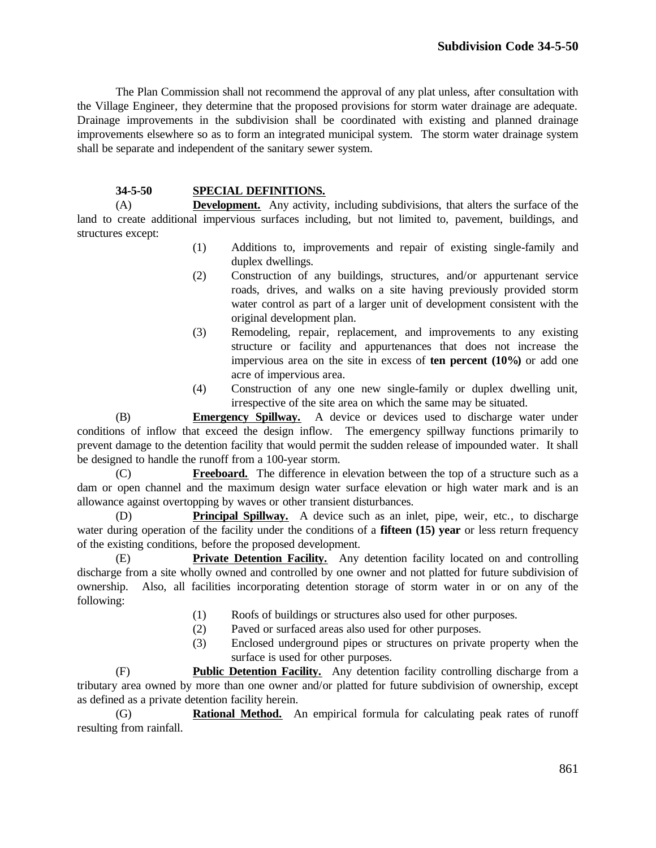The Plan Commission shall not recommend the approval of any plat unless, after consultation with the Village Engineer, they determine that the proposed provisions for storm water drainage are adequate. Drainage improvements in the subdivision shall be coordinated with existing and planned drainage improvements elsewhere so as to form an integrated municipal system. The storm water drainage system shall be separate and independent of the sanitary sewer system.

## **34-5-50 SPECIAL DEFINITIONS.**

(A) **Development.** Any activity, including subdivisions, that alters the surface of the land to create additional impervious surfaces including, but not limited to, pavement, buildings, and structures except:

- (1) Additions to, improvements and repair of existing single-family and duplex dwellings.
- (2) Construction of any buildings, structures, and/or appurtenant service roads, drives, and walks on a site having previously provided storm water control as part of a larger unit of development consistent with the original development plan.
- (3) Remodeling, repair, replacement, and improvements to any existing structure or facility and appurtenances that does not increase the impervious area on the site in excess of **ten percent (10%)** or add one acre of impervious area.
- (4) Construction of any one new single-family or duplex dwelling unit, irrespective of the site area on which the same may be situated.

(B) **Emergency Spillway.** A device or devices used to discharge water under conditions of inflow that exceed the design inflow. The emergency spillway functions primarily to prevent damage to the detention facility that would permit the sudden release of impounded water. It shall be designed to handle the runoff from a 100-year storm.

(C) **Freeboard.** The difference in elevation between the top of a structure such as a dam or open channel and the maximum design water surface elevation or high water mark and is an allowance against overtopping by waves or other transient disturbances.

(D) **Principal Spillway.** A device such as an inlet, pipe, weir, etc., to discharge water during operation of the facility under the conditions of a **fifteen (15) year** or less return frequency of the existing conditions, before the proposed development.

(E) **Private Detention Facility.** Any detention facility located on and controlling discharge from a site wholly owned and controlled by one owner and not platted for future subdivision of ownership. Also, all facilities incorporating detention storage of storm water in or on any of the following:

- (1) Roofs of buildings or structures also used for other purposes.
- (2) Paved or surfaced areas also used for other purposes.
- (3) Enclosed underground pipes or structures on private property when the surface is used for other purposes.

(F) **Public Detention Facility.** Any detention facility controlling discharge from a tributary area owned by more than one owner and/or platted for future subdivision of ownership, except as defined as a private detention facility herein.

(G) **Rational Method.** An empirical formula for calculating peak rates of runoff resulting from rainfall.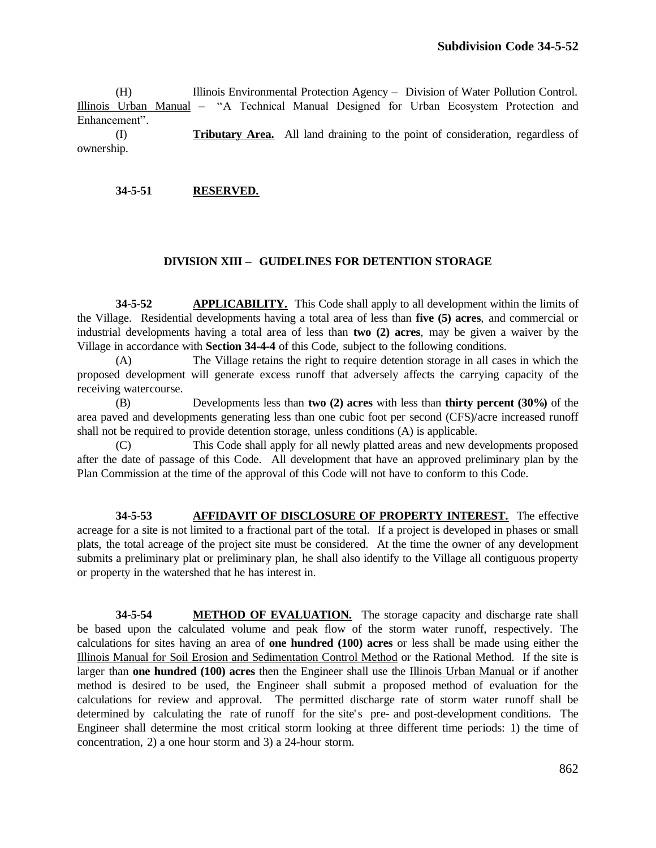(H) Illinois Environmental Protection Agency – Division of Water Pollution Control. Illinois Urban Manual – "A Technical Manual Designed for Urban Ecosystem Protection and Enhancement".

(I) **Tributary Area.** All land draining to the point of consideration, regardless of ownership.

#### **34-5-51 RESERVED.**

## **DIVISION XIII – GUIDELINES FOR DETENTION STORAGE**

**34-5-52 APPLICABILITY.** This Code shall apply to all development within the limits of the Village. Residential developments having a total area of less than **five (5) acres**, and commercial or industrial developments having a total area of less than **two (2) acres**, may be given a waiver by the Village in accordance with **Section 34-4-4** of this Code, subject to the following conditions.

(A) The Village retains the right to require detention storage in all cases in which the proposed development will generate excess runoff that adversely affects the carrying capacity of the receiving watercourse.

(B) Developments less than **two (2) acres** with less than **thirty percent (30%)** of the area paved and developments generating less than one cubic foot per second (CFS)/acre increased runoff shall not be required to provide detention storage, unless conditions (A) is applicable.

(C) This Code shall apply for all newly platted areas and new developments proposed after the date of passage of this Code. All development that have an approved preliminary plan by the Plan Commission at the time of the approval of this Code will not have to conform to this Code.

**34-5-53 AFFIDAVIT OF DISCLOSURE OF PROPERTY INTEREST.** The effective acreage for a site is not limited to a fractional part of the total. If a project is developed in phases or small plats, the total acreage of the project site must be considered. At the time the owner of any development submits a preliminary plat or preliminary plan, he shall also identify to the Village all contiguous property or property in the watershed that he has interest in.

**34-5-54 METHOD OF EVALUATION.** The storage capacity and discharge rate shall be based upon the calculated volume and peak flow of the storm water runoff, respectively. The calculations for sites having an area of **one hundred (100) acres** or less shall be made using either the Illinois Manual for Soil Erosion and Sedimentation Control Method or the Rational Method. If the site is larger than **one hundred (100) acres** then the Engineer shall use the Illinois Urban Manual or if another method is desired to be used, the Engineer shall submit a proposed method of evaluation for the calculations for review and approval. The permitted discharge rate of storm water runoff shall be determined by calculating the rate of runoff for the site's pre- and post-development conditions. The Engineer shall determine the most critical storm looking at three different time periods: 1) the time of concentration, 2) a one hour storm and 3) a 24-hour storm.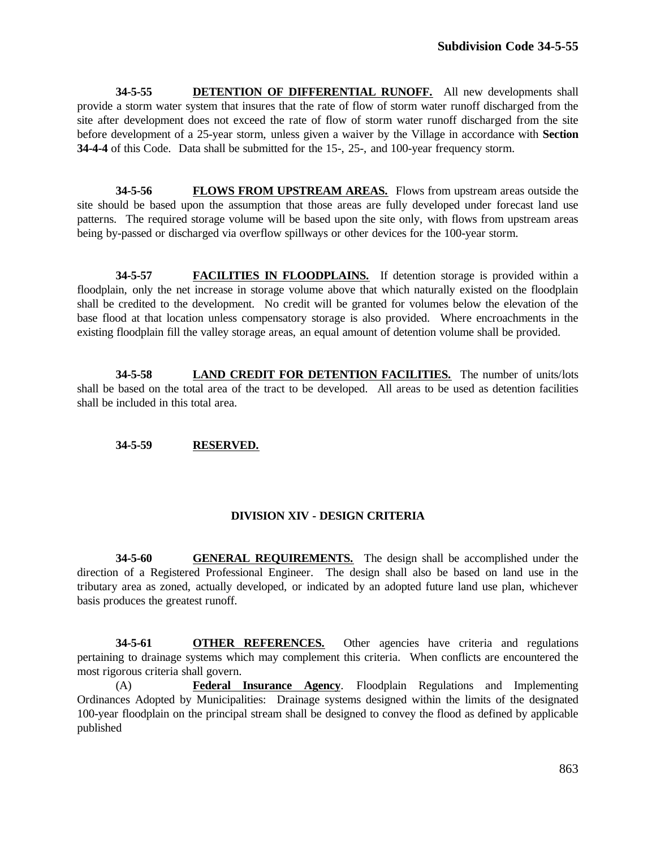**34-5-55 DETENTION OF DIFFERENTIAL RUNOFF.** All new developments shall provide a storm water system that insures that the rate of flow of storm water runoff discharged from the site after development does not exceed the rate of flow of storm water runoff discharged from the site before development of a 25-year storm, unless given a waiver by the Village in accordance with **Section 34-4-4** of this Code. Data shall be submitted for the 15-, 25-, and 100-year frequency storm.

**34-5-56 FLOWS FROM UPSTREAM AREAS.** Flows from upstream areas outside the site should be based upon the assumption that those areas are fully developed under forecast land use patterns. The required storage volume will be based upon the site only, with flows from upstream areas being by-passed or discharged via overflow spillways or other devices for the 100-year storm.

**34-5-57 FACILITIES IN FLOODPLAINS.** If detention storage is provided within a floodplain, only the net increase in storage volume above that which naturally existed on the floodplain shall be credited to the development. No credit will be granted for volumes below the elevation of the base flood at that location unless compensatory storage is also provided. Where encroachments in the existing floodplain fill the valley storage areas, an equal amount of detention volume shall be provided.

**34-5-58 LAND CREDIT FOR DETENTION FACILITIES.** The number of units/lots shall be based on the total area of the tract to be developed. All areas to be used as detention facilities shall be included in this total area.

## **34-5-59 RESERVED.**

# **DIVISION XIV - DESIGN CRITERIA**

**34-5-60 GENERAL REQUIREMENTS.** The design shall be accomplished under the direction of a Registered Professional Engineer. The design shall also be based on land use in the tributary area as zoned, actually developed, or indicated by an adopted future land use plan, whichever basis produces the greatest runoff.

**34-5-61 OTHER REFERENCES.** Other agencies have criteria and regulations pertaining to drainage systems which may complement this criteria. When conflicts are encountered the most rigorous criteria shall govern.

(A) **Federal Insurance Agency**. Floodplain Regulations and Implementing Ordinances Adopted by Municipalities: Drainage systems designed within the limits of the designated 100-year floodplain on the principal stream shall be designed to convey the flood as defined by applicable published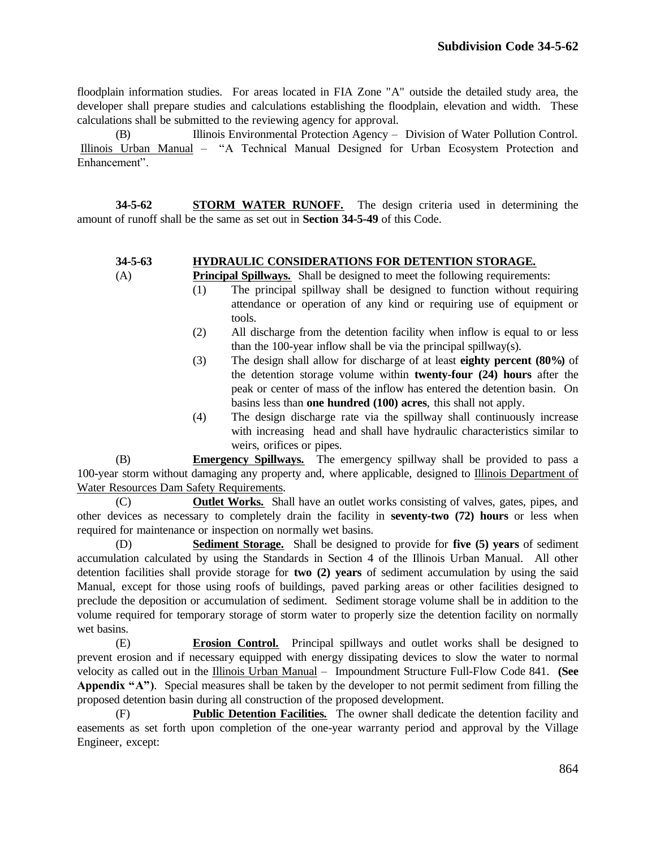floodplain information studies. For areas located in FIA Zone "A" outside the detailed study area, the developer shall prepare studies and calculations establishing the floodplain, elevation and width. These calculations shall be submitted to the reviewing agency for approval.

(B) Illinois Environmental Protection Agency – Division of Water Pollution Control. Illinois Urban Manual – "A Technical Manual Designed for Urban Ecosystem Protection and Enhancement".

**34-5-62 STORM WATER RUNOFF.** The design criteria used in determining the amount of runoff shall be the same as set out in **Section 34-5-49** of this Code.

## **34-5-63 HYDRAULIC CONSIDERATIONS FOR DETENTION STORAGE.**

- (A) **Principal Spillways.** Shall be designed to meet the following requirements:
	- (1) The principal spillway shall be designed to function without requiring attendance or operation of any kind or requiring use of equipment or tools.
	- (2) All discharge from the detention facility when inflow is equal to or less than the 100-year inflow shall be via the principal spillway(s).
	- (3) The design shall allow for discharge of at least **eighty percent (80%)** of the detention storage volume within **twenty-four (24) hours** after the peak or center of mass of the inflow has entered the detention basin. On basins less than **one hundred (100) acres**, this shall not apply.
	- (4) The design discharge rate via the spillway shall continuously increase with increasing head and shall have hydraulic characteristics similar to weirs, orifices or pipes.

(B) **Emergency Spillways.** The emergency spillway shall be provided to pass a 100-year storm without damaging any property and, where applicable, designed to Illinois Department of Water Resources Dam Safety Requirements.

(C) **Outlet Works.** Shall have an outlet works consisting of valves, gates, pipes, and other devices as necessary to completely drain the facility in **seventy-two (72) hours** or less when required for maintenance or inspection on normally wet basins.

(D) **Sediment Storage.** Shall be designed to provide for **five (5) years** of sediment accumulation calculated by using the Standards in Section 4 of the Illinois Urban Manual. All other detention facilities shall provide storage for **two (2) years** of sediment accumulation by using the said Manual, except for those using roofs of buildings, paved parking areas or other facilities designed to preclude the deposition or accumulation of sediment. Sediment storage volume shall be in addition to the volume required for temporary storage of storm water to properly size the detention facility on normally wet basins.

(E) **Erosion Control.** Principal spillways and outlet works shall be designed to prevent erosion and if necessary equipped with energy dissipating devices to slow the water to normal velocity as called out in the Illinois Urban Manual – Impoundment Structure Full-Flow Code 841. **(See Appendix "A")**. Special measures shall be taken by the developer to not permit sediment from filling the proposed detention basin during all construction of the proposed development.

(F) **Public Detention Facilities.** The owner shall dedicate the detention facility and easements as set forth upon completion of the one-year warranty period and approval by the Village Engineer, except: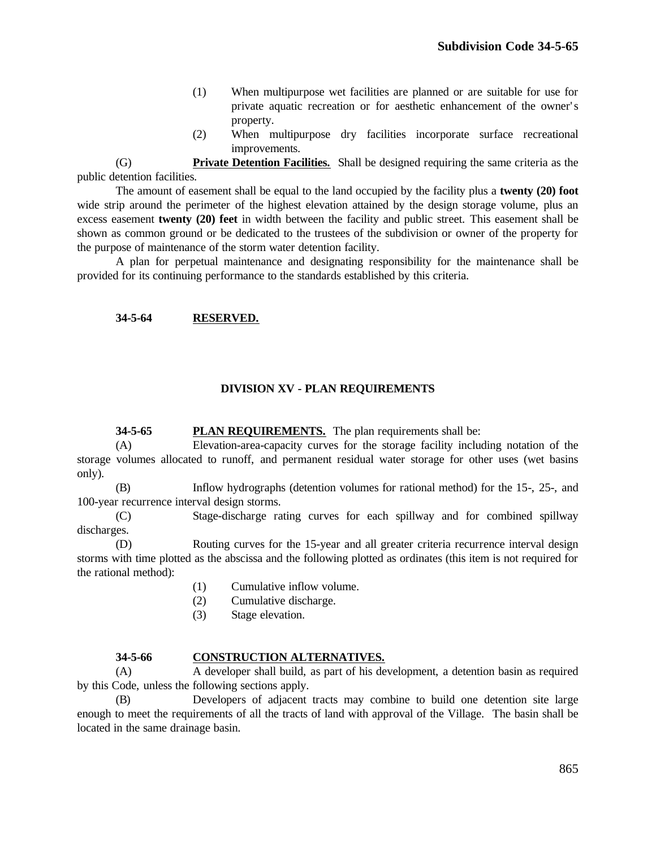- (1) When multipurpose wet facilities are planned or are suitable for use for private aquatic recreation or for aesthetic enhancement of the owner' s property.
- (2) When multipurpose dry facilities incorporate surface recreational improvements.

(G) **Private Detention Facilities.** Shall be designed requiring the same criteria as the public detention facilities.

The amount of easement shall be equal to the land occupied by the facility plus a **twenty (20) foot** wide strip around the perimeter of the highest elevation attained by the design storage volume, plus an excess easement **twenty (20) feet** in width between the facility and public street. This easement shall be shown as common ground or be dedicated to the trustees of the subdivision or owner of the property for the purpose of maintenance of the storm water detention facility.

A plan for perpetual maintenance and designating responsibility for the maintenance shall be provided for its continuing performance to the standards established by this criteria.

## **34-5-64 RESERVED.**

# **DIVISION XV - PLAN REQUIREMENTS**

## **34-5-65 PLAN REQUIREMENTS.** The plan requirements shall be:

(A) Elevation-area-capacity curves for the storage facility including notation of the storage volumes allocated to runoff, and permanent residual water storage for other uses (wet basins only).

(B) Inflow hydrographs (detention volumes for rational method) for the 15-, 25-, and 100-year recurrence interval design storms.

(C) Stage-discharge rating curves for each spillway and for combined spillway discharges.

(D) Routing curves for the 15-year and all greater criteria recurrence interval design storms with time plotted as the abscissa and the following plotted as ordinates (this item is not required for the rational method):

- (1) Cumulative inflow volume.
- (2) Cumulative discharge.
- (3) Stage elevation.

#### **34-5-66 CONSTRUCTION ALTERNATIVES.**

(A) A developer shall build, as part of his development, a detention basin as required by this Code, unless the following sections apply.

(B) Developers of adjacent tracts may combine to build one detention site large enough to meet the requirements of all the tracts of land with approval of the Village. The basin shall be located in the same drainage basin.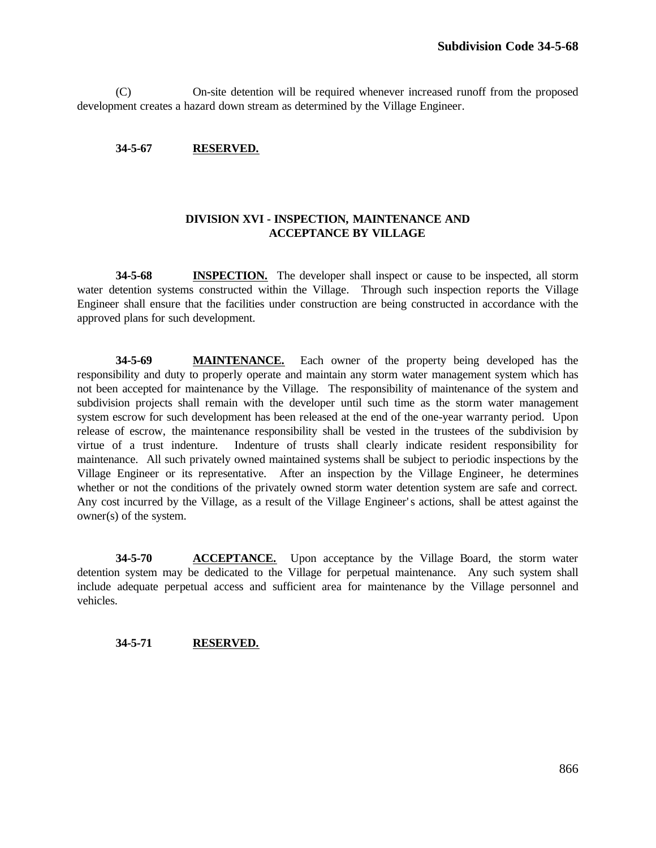(C) On-site detention will be required whenever increased runoff from the proposed development creates a hazard down stream as determined by the Village Engineer.

## **34-5-67 RESERVED.**

# **DIVISION XVI - INSPECTION, MAINTENANCE AND ACCEPTANCE BY VILLAGE**

**34-5-68 INSPECTION.** The developer shall inspect or cause to be inspected, all storm water detention systems constructed within the Village. Through such inspection reports the Village Engineer shall ensure that the facilities under construction are being constructed in accordance with the approved plans for such development.

**34-5-69 MAINTENANCE.** Each owner of the property being developed has the responsibility and duty to properly operate and maintain any storm water management system which has not been accepted for maintenance by the Village. The responsibility of maintenance of the system and subdivision projects shall remain with the developer until such time as the storm water management system escrow for such development has been released at the end of the one-year warranty period. Upon release of escrow, the maintenance responsibility shall be vested in the trustees of the subdivision by virtue of a trust indenture. Indenture of trusts shall clearly indicate resident responsibility for maintenance. All such privately owned maintained systems shall be subject to periodic inspections by the Village Engineer or its representative. After an inspection by the Village Engineer, he determines whether or not the conditions of the privately owned storm water detention system are safe and correct. Any cost incurred by the Village, as a result of the Village Engineer's actions, shall be attest against the owner(s) of the system.

**34-5-70 ACCEPTANCE.** Upon acceptance by the Village Board, the storm water detention system may be dedicated to the Village for perpetual maintenance. Any such system shall include adequate perpetual access and sufficient area for maintenance by the Village personnel and vehicles.

## **34-5-71 RESERVED.**